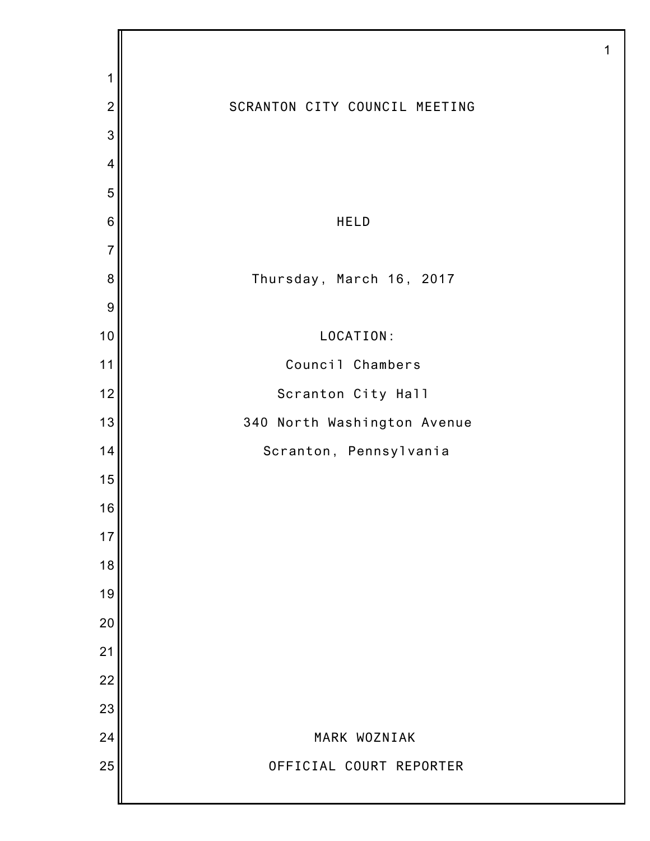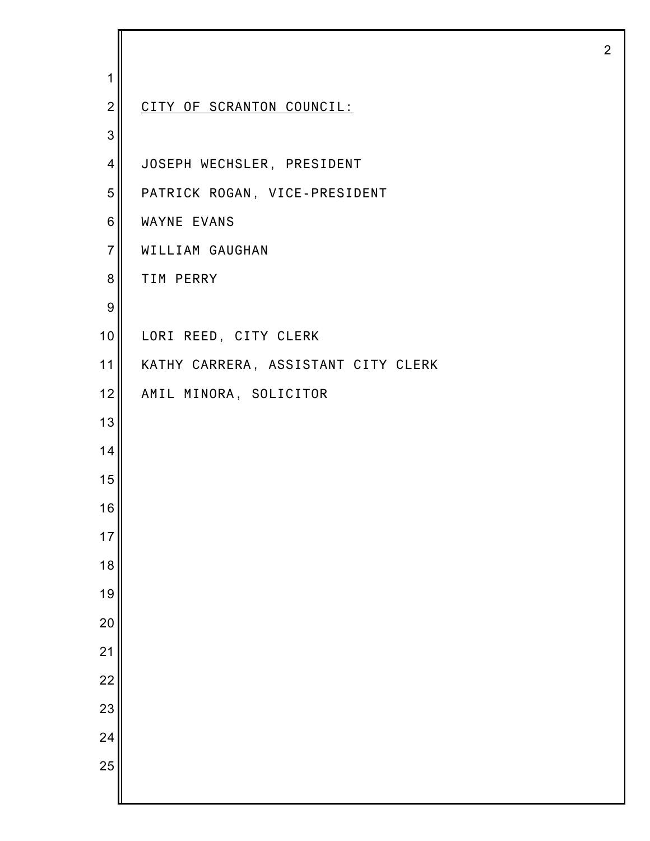| 1                |                                     |
|------------------|-------------------------------------|
| $\overline{2}$   | CITY OF SCRANTON COUNCIL:           |
| 3                |                                     |
| $\overline{4}$   | JOSEPH WECHSLER, PRESIDENT          |
| 5                | PATRICK ROGAN, VICE-PRESIDENT       |
| 6                | WAYNE EVANS                         |
| $\overline{7}$   | WILLIAM GAUGHAN                     |
| 8                | TIM PERRY                           |
| $\boldsymbol{9}$ |                                     |
| 10               | LORI REED, CITY CLERK               |
| 11               | KATHY CARRERA, ASSISTANT CITY CLERK |
| 12               | AMIL MINORA, SOLICITOR              |
| 13               |                                     |
| 14               |                                     |
| 15               |                                     |
| 16               |                                     |
| 17               |                                     |
| 18               |                                     |
| 19               |                                     |
| 20               |                                     |
| 21               |                                     |
| 22               |                                     |
| 23               |                                     |
| 24               |                                     |
| 25               |                                     |
|                  |                                     |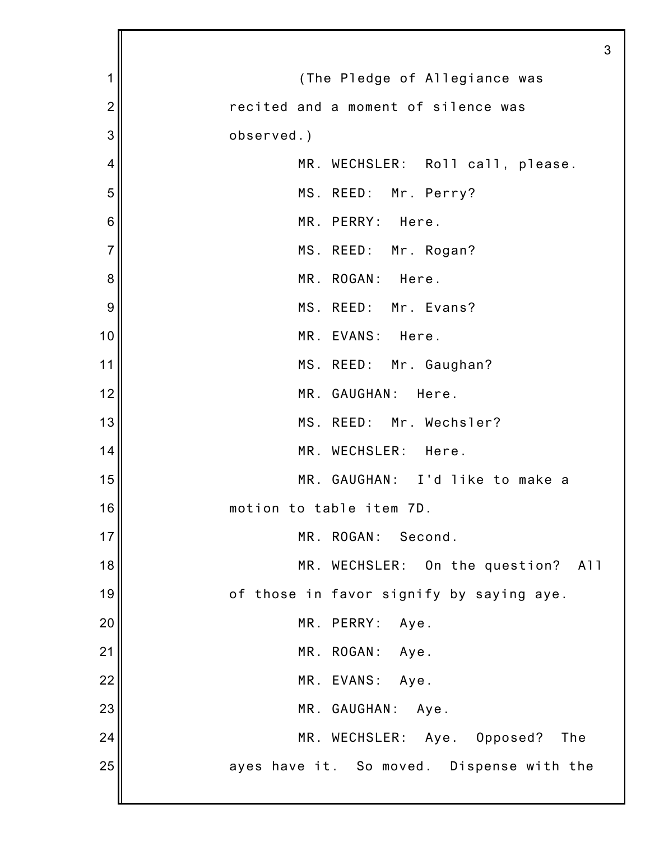|                | 3                                         |
|----------------|-------------------------------------------|
| 1              | (The Pledge of Allegiance was             |
| $\overline{2}$ | recited and a moment of silence was       |
| 3              | observed.)                                |
| 4              | MR. WECHSLER: Roll call, please.          |
| 5              | MS. REED: Mr. Perry?                      |
| 6              | MR. PERRY: Here.                          |
| $\overline{7}$ | MS. REED: Mr. Rogan?                      |
| 8              | MR. ROGAN: Here.                          |
| 9              | MS. REED: Mr. Evans?                      |
| 10             | MR. EVANS: Here.                          |
| 11             | MS. REED: Mr. Gaughan?                    |
| 12             | MR. GAUGHAN: Here.                        |
| 13             | MS. REED: Mr. Wechsler?                   |
| 14             | MR. WECHSLER: Here.                       |
| 15             | MR. GAUGHAN: I'd like to make a           |
| 16             | motion to table item 7D.                  |
| 17             | MR. ROGAN: Second.                        |
| 18             | MR. WECHSLER: On the question? All        |
| 19             | of those in favor signify by saying aye.  |
| 20             | MR. PERRY:<br>Aye.                        |
| 21             | MR. ROGAN: Aye.                           |
| 22             | MR. EVANS: Aye.                           |
| 23             | MR. GAUGHAN:<br>Aye.                      |
| 24             | MR. WECHSLER: Aye. Opposed?<br>The        |
| 25             | ayes have it. So moved. Dispense with the |
|                |                                           |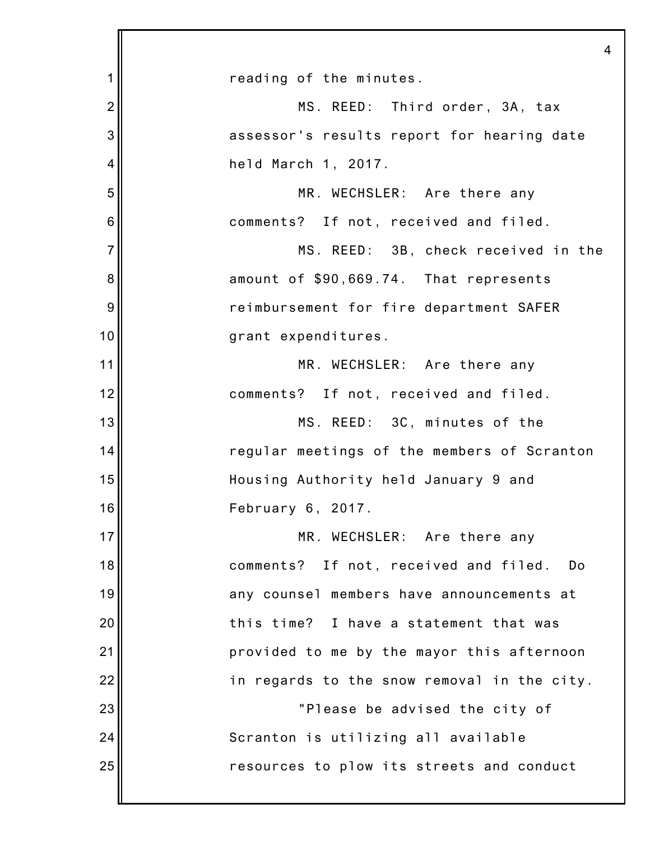|                | $\overline{4}$                              |
|----------------|---------------------------------------------|
| 1              | reading of the minutes.                     |
| $\overline{2}$ | MS. REED: Third order, 3A, tax              |
| 3              | assessor's results report for hearing date  |
| 4              | held March 1, 2017.                         |
| 5              | MR. WECHSLER: Are there any                 |
| 6              | comments? If not, received and filed.       |
| $\overline{7}$ | MS. REED: 3B, check received in the         |
| 8              | amount of \$90,669.74. That represents      |
| 9              | reimbursement for fire department SAFER     |
| 10             | grant expenditures.                         |
| 11             | MR. WECHSLER: Are there any                 |
| 12             | comments? If not, received and filed.       |
| 13             | MS. REED: 3C, minutes of the                |
| 14             | regular meetings of the members of Scranton |
| 15             | Housing Authority held January 9 and        |
| 16             | February 6, 2017.                           |
| 17             | MR. WECHSLER: Are there any                 |
| 18             | comments? If not, received and filed. Do    |
| 19             | any counsel members have announcements at   |
| 20             | this time? I have a statement that was      |
| 21             | provided to me by the mayor this afternoon  |
| 22             | in regards to the snow removal in the city. |
| 23             | "Please be advised the city of              |
| 24             | Scranton is utilizing all available         |
| 25             | resources to plow its streets and conduct   |
|                |                                             |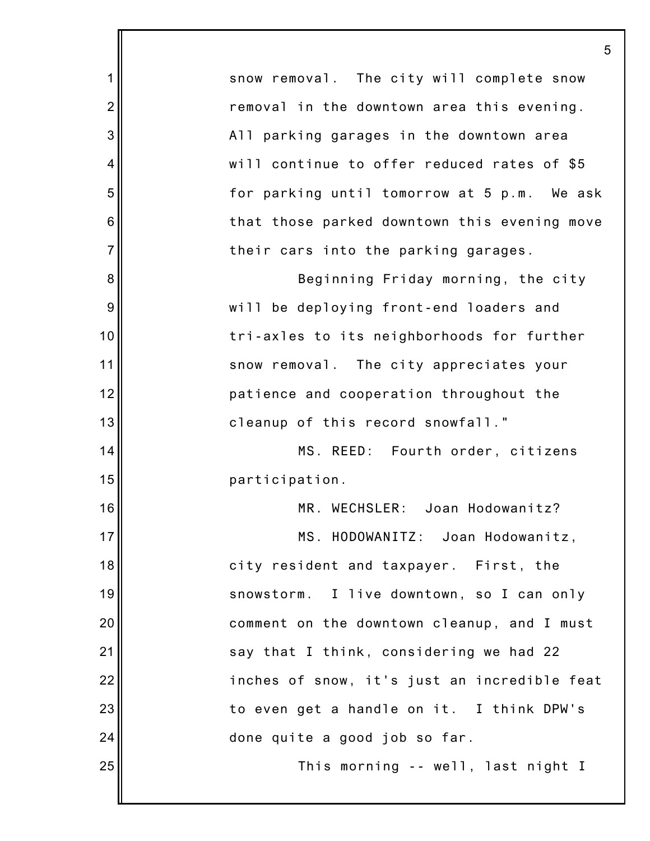1 2 3 4 5 6 7 8 9 10 11 12 13 14 15 16 17 18 19 20 21 22 23 24 25 5 snow removal. The city will complete snow removal in the downtown area this evening. All parking garages in the downtown area will continue to offer reduced rates of \$5 for parking until tomorrow at 5 p.m. We ask that those parked downtown this evening move their cars into the parking garages. Beginning Friday morning, the city will be deploying front-end loaders and tri-axles to its neighborhoods for further snow removal. The city appreciates your patience and cooperation throughout the cleanup of this record snowfall." MS. REED: Fourth order, citizens participation. MR. WECHSLER: Joan Hodowanitz? MS. HODOWANITZ: Joan Hodowanitz, city resident and taxpayer. First, the snowstorm. I live downtown, so I can only comment on the downtown cleanup, and I must say that I think, considering we had 22 inches of snow, it's just an incredible feat to even get a handle on it. I think DPW's done quite a good job so far. This morning -- well, last night I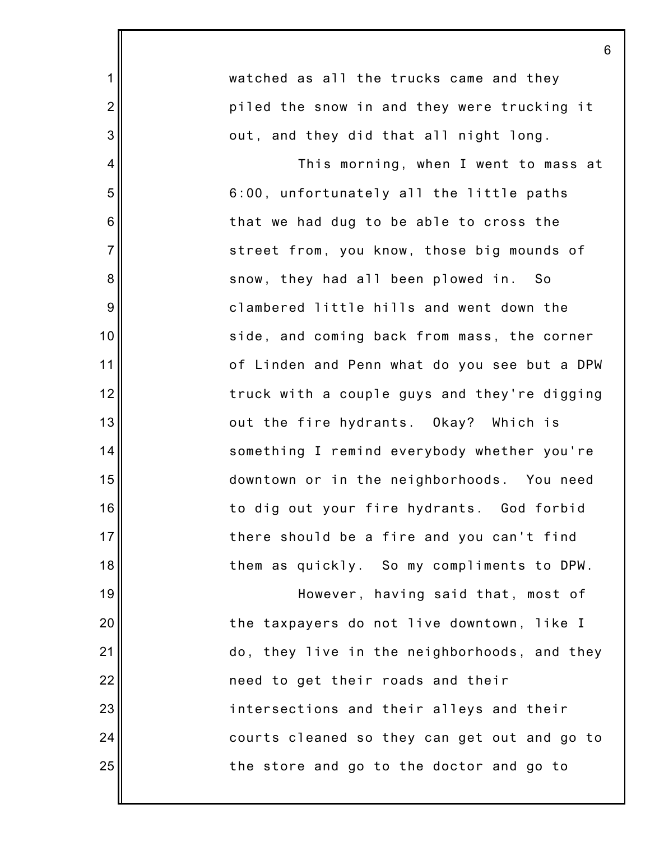|                | 6                                            |
|----------------|----------------------------------------------|
| $\mathbf 1$    | watched as all the trucks came and they      |
| $\overline{2}$ | piled the snow in and they were trucking it  |
| 3              | out, and they did that all night long.       |
| 4              | This morning, when I went to mass at         |
| 5              | 6:00, unfortunately all the little paths     |
| 6              | that we had dug to be able to cross the      |
| $\overline{7}$ | street from, you know, those big mounds of   |
| 8              | snow, they had all been plowed in. So        |
| 9              | clambered little hills and went down the     |
| 10             | side, and coming back from mass, the corner  |
| 11             | of Linden and Penn what do you see but a DPW |
| 12             | truck with a couple guys and they're digging |
| 13             | out the fire hydrants. Okay? Which is        |
| 14             | something I remind everybody whether you're  |
| 15             | downtown or in the neighborhoods. You need   |
| 16             | to dig out your fire hydrants. God forbid    |
| 17             | there should be a fire and you can't find    |
| 18             | them as quickly. So my compliments to DPW.   |
| 19             | However, having said that, most of           |
| 20             | the taxpayers do not live downtown, like I   |
| 21             | do, they live in the neighborhoods, and they |
| 22             | need to get their roads and their            |
| 23             | intersections and their alleys and their     |
| 24             | courts cleaned so they can get out and go to |
| 25             | the store and go to the doctor and go to     |
|                |                                              |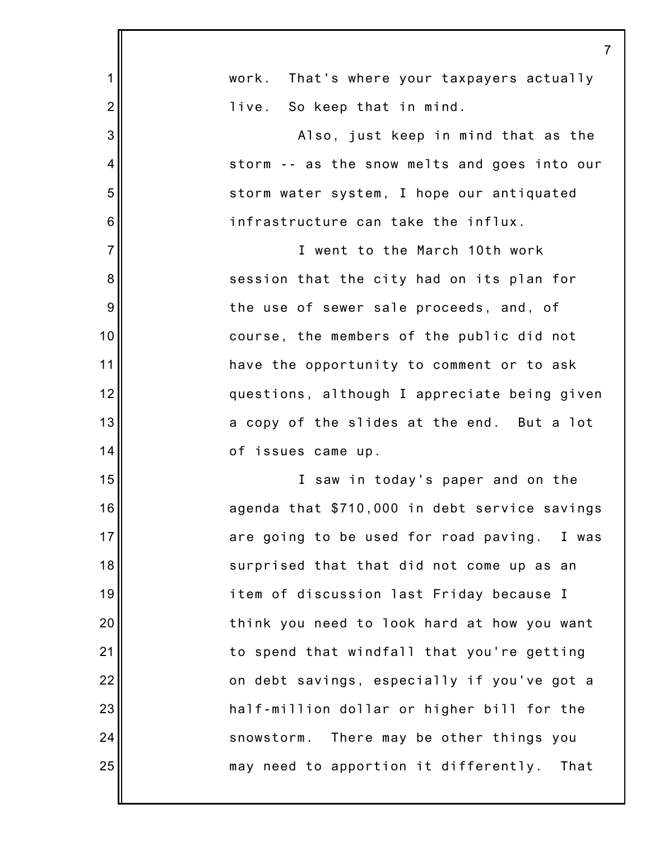|                | 7                                             |
|----------------|-----------------------------------------------|
| 1              | work. That's where your taxpayers actually    |
| $\overline{2}$ | live. So keep that in mind.                   |
| 3              | Also, just keep in mind that as the           |
| 4              | storm -- as the snow melts and goes into our  |
| 5              | storm water system, I hope our antiquated     |
| 6              | infrastructure can take the influx.           |
| $\overline{7}$ | I went to the March 10th work                 |
| 8              | session that the city had on its plan for     |
| 9              | the use of sewer sale proceeds, and, of       |
| 10             | course, the members of the public did not     |
| 11             | have the opportunity to comment or to ask     |
| 12             | questions, although I appreciate being given  |
| 13             | a copy of the slides at the end. But a lot    |
| 14             | of issues came up.                            |
| 15             | I saw in today's paper and on the             |
| 16             | agenda that \$710,000 in debt service savings |
| 17             | are going to be used for road paving. I was   |
| 18             | surprised that that did not come up as an     |
| 19             | item of discussion last Friday because I      |
| 20             | think you need to look hard at how you want   |
| 21             | to spend that windfall that you're getting    |
| 22             | on debt savings, especially if you've got a   |
| 23             | half-million dollar or higher bill for the    |
| 24             | snowstorm. There may be other things you      |
| 25             | may need to apportion it differently. That    |
|                |                                               |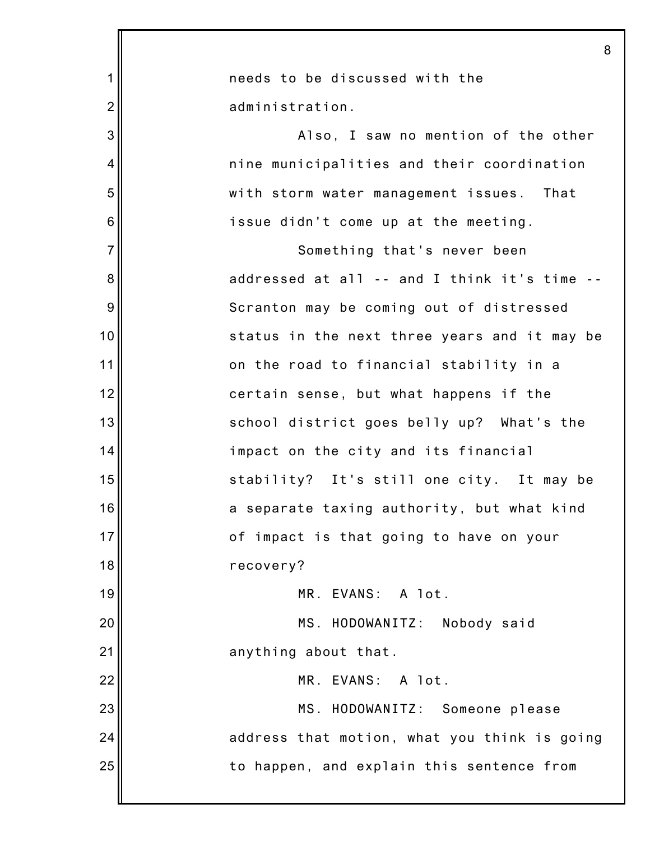|                | 8                                            |
|----------------|----------------------------------------------|
| 1              | needs to be discussed with the               |
| $\overline{2}$ | administration.                              |
| 3              | Also, I saw no mention of the other          |
| 4              | nine municipalities and their coordination   |
| 5              | with storm water management issues. That     |
| 6              | issue didn't come up at the meeting.         |
| $\overline{7}$ | Something that's never been                  |
| 8              | addressed at all -- and I think it's time -- |
| 9              | Scranton may be coming out of distressed     |
| 10             | status in the next three years and it may be |
| 11             | on the road to financial stability in a      |
| 12             | certain sense, but what happens if the       |
| 13             | school district goes belly up? What's the    |
| 14             | impact on the city and its financial         |
| 15             | stability? It's still one city. It may be    |
| 16             | a separate taxing authority, but what kind   |
| 17             | of impact is that going to have on your      |
| 18             | recovery?                                    |
| 19             | MR. EVANS: A lot.                            |
| 20             | MS. HODOWANITZ: Nobody said                  |
| 21             | anything about that.                         |
| 22             | MR. EVANS: A lot.                            |
| 23             | MS. HODOWANITZ: Someone please               |
| 24             | address that motion, what you think is going |
| 25             | to happen, and explain this sentence from    |
|                |                                              |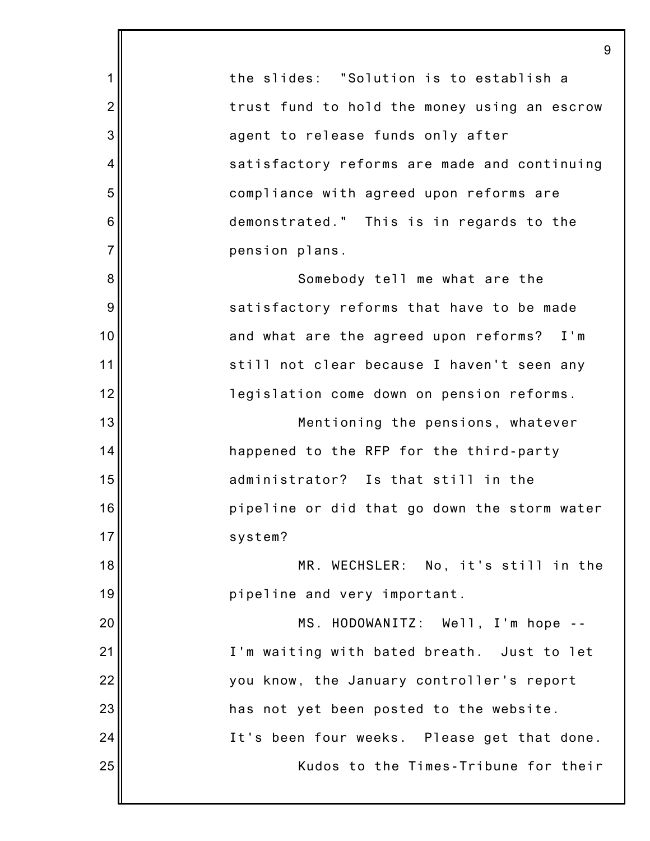1 2 3 4 5 6 7 8 9 10 11 12 13 14 15 16 17 18 19 20 21 22 23 24 25 9 the slides: "Solution is to establish a trust fund to hold the money using an escrow agent to release funds only after satisfactory reforms are made and continuing compliance with agreed upon reforms are demonstrated." This is in regards to the pension plans. Somebody tell me what are the satisfactory reforms that have to be made and what are the agreed upon reforms? I'm still not clear because I haven't seen any legislation come down on pension reforms. Mentioning the pensions, whatever happened to the RFP for the third-party administrator? Is that still in the pipeline or did that go down the storm water system? MR. WECHSLER: No, it's still in the pipeline and very important. MS. HODOWANITZ: Well, I'm hope -- I'm waiting with bated breath. Just to let you know, the January controller's report has not yet been posted to the website. It's been four weeks. Please get that done. Kudos to the Times-Tribune for their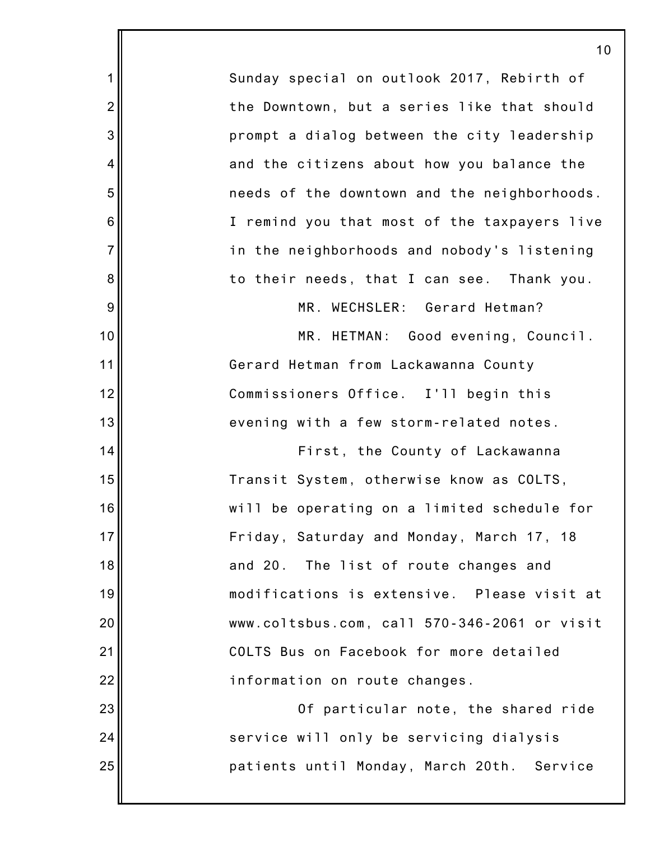| 1              | Sunday special on outlook 2017, Rebirth of   |
|----------------|----------------------------------------------|
| $\overline{2}$ | the Downtown, but a series like that should  |
| 3              | prompt a dialog between the city leadership  |
| 4              | and the citizens about how you balance the   |
| 5              | needs of the downtown and the neighborhoods. |
| 6              | I remind you that most of the taxpayers live |
| $\overline{7}$ | in the neighborhoods and nobody's listening  |
| 8              | to their needs, that I can see. Thank you.   |
| 9              | MR. WECHSLER: Gerard Hetman?                 |
| 10             | MR. HETMAN: Good evening, Council.           |
| 11             | Gerard Hetman from Lackawanna County         |
| 12             | Commissioners Office. I'll begin this        |
| 13             | evening with a few storm-related notes.      |
| 14             | First, the County of Lackawanna              |
| 15             | Transit System, otherwise know as COLTS,     |
| 16             | will be operating on a limited schedule for  |
| 17             | Friday, Saturday and Monday, March 17, 18    |
| 18             | and 20. The list of route changes and        |
| 19             | modifications is extensive. Please visit at  |
| 20             | www.coltsbus.com, call 570-346-2061 or visit |
| 21             | COLTS Bus on Facebook for more detailed      |
| 22             | information on route changes.                |
| 23             | Of particular note, the shared ride          |
| 24             | service will only be servicing dialysis      |
| 25             | patients until Monday, March 20th. Service   |

║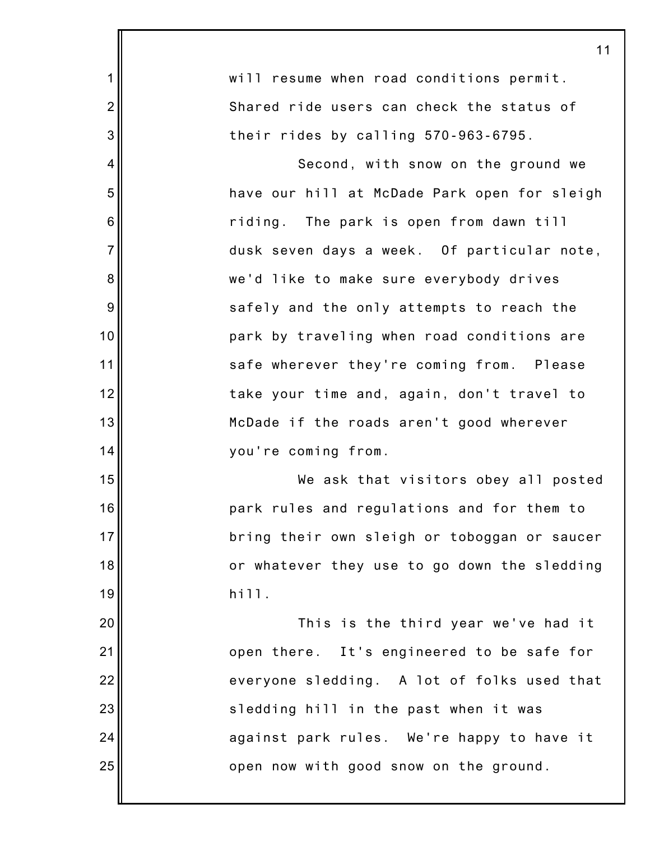|                  | 11                                           |
|------------------|----------------------------------------------|
| 1                | will resume when road conditions permit.     |
| $\overline{c}$   | Shared ride users can check the status of    |
| 3                | their rides by calling 570-963-6795.         |
| 4                | Second, with snow on the ground we           |
| 5                | have our hill at McDade Park open for sleigh |
| $\,6$            | riding. The park is open from dawn till      |
| $\overline{7}$   | dusk seven days a week. Of particular note,  |
| 8                | we'd like to make sure everybody drives      |
| $\boldsymbol{9}$ | safely and the only attempts to reach the    |
| 10               | park by traveling when road conditions are   |
| 11               | safe wherever they're coming from. Please    |
| 12               | take your time and, again, don't travel to   |
| 13               | McDade if the roads aren't good wherever     |
| 14               | you're coming from.                          |
| 15               | We ask that visitors obey all posted         |
| 16               | park rules and regulations and for them to   |
| 17               | bring their own sleigh or toboggan or saucer |
| 18               | or whatever they use to go down the sledding |
| 19               | hill.                                        |
| 20               | This is the third year we've had it          |
| 21               | open there. It's engineered to be safe for   |
| 22               | everyone sledding. A lot of folks used that  |
| 23               | sledding hill in the past when it was        |
| 24               | against park rules. We're happy to have it   |
| 25               | open now with good snow on the ground.       |
|                  |                                              |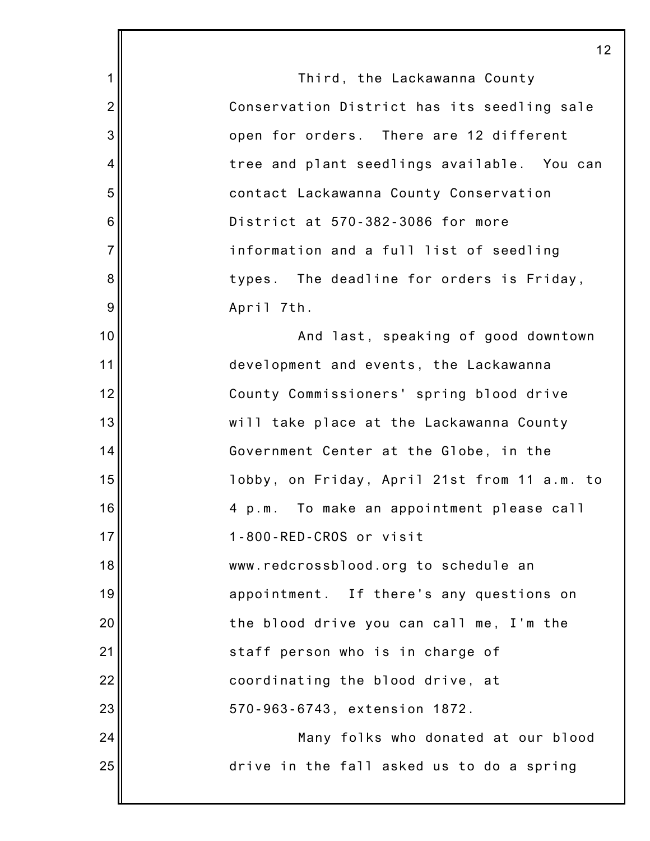1 2 3 4 5 6 7 8 9 10 11 12 13 14 15 16 17 18 19 20 21 22 23 24 25 12 Third, the Lackawanna County Conservation District has its seedling sale open for orders. There are 12 different tree and plant seedlings available. You can contact Lackawanna County Conservation District at 570-382-3086 for more information and a full list of seedling types. The deadline for orders is Friday, April 7th. And last, speaking of good downtown development and events, the Lackawanna County Commissioners' spring blood drive will take place at the Lackawanna County Government Center at the Globe, in the lobby, on Friday, April 21st from 11 a.m. to 4 p.m. To make an appointment please call 1-800-RED-CROS or visit www.redcrossblood.org to schedule an appointment. If there's any questions on the blood drive you can call me, I'm the staff person who is in charge of coordinating the blood drive, at 570-963-6743, extension 1872. Many folks who donated at our blood drive in the fall asked us to do a spring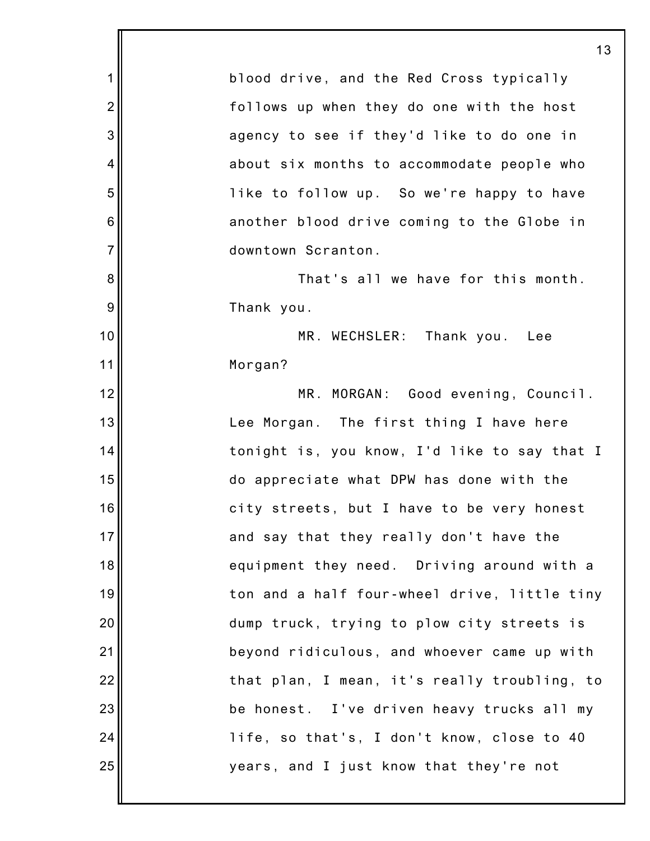1 2 3 4 5 6 7 8 9 10 11 12 13 14 15 16 17 18 19 20 21 22 23 24 25 13 blood drive, and the Red Cross typically follows up when they do one with the host agency to see if they'd like to do one in about six months to accommodate people who like to follow up. So we're happy to have another blood drive coming to the Globe in downtown Scranton. That's all we have for this month. Thank you. MR. WECHSLER: Thank you. Lee Morgan? MR. MORGAN: Good evening, Council. Lee Morgan. The first thing I have here tonight is, you know, I'd like to say that I do appreciate what DPW has done with the city streets, but I have to be very honest and say that they really don't have the equipment they need. Driving around with a ton and a half four-wheel drive, little tiny dump truck, trying to plow city streets is beyond ridiculous, and whoever came up with that plan, I mean, it's really troubling, to be honest. I've driven heavy trucks all my life, so that's, I don't know, close to 40 years, and I just know that they're not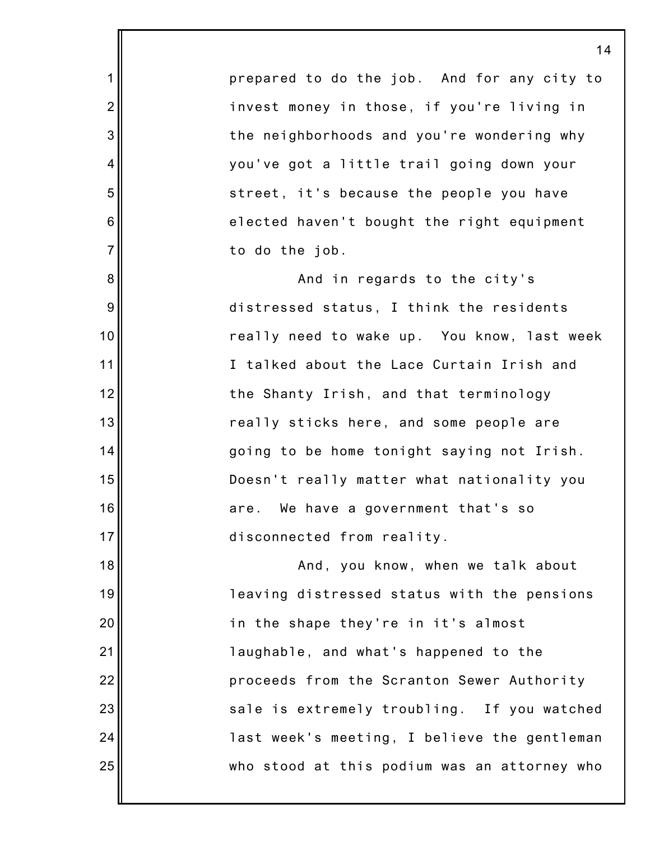prepared to do the job. And for any city to invest money in those, if you're living in the neighborhoods and you're wondering why you've got a little trail going down your street, it's because the people you have elected haven't bought the right equipment to do the job.

1

2

3

4

5

6

7

8

9

10

11

12

13

14

15

16

17

And in regards to the city's distressed status, I think the residents really need to wake up. You know, last week I talked about the Lace Curtain Irish and the Shanty Irish, and that terminology really sticks here, and some people are going to be home tonight saying not Irish. Doesn't really matter what nationality you are. We have a government that's so disconnected from reality.

18 19 20 21 22 23 24 25 And, you know, when we talk about leaving distressed status with the pensions in the shape they're in it's almost laughable, and what's happened to the proceeds from the Scranton Sewer Authority sale is extremely troubling. If you watched last week's meeting, I believe the gentleman who stood at this podium was an attorney who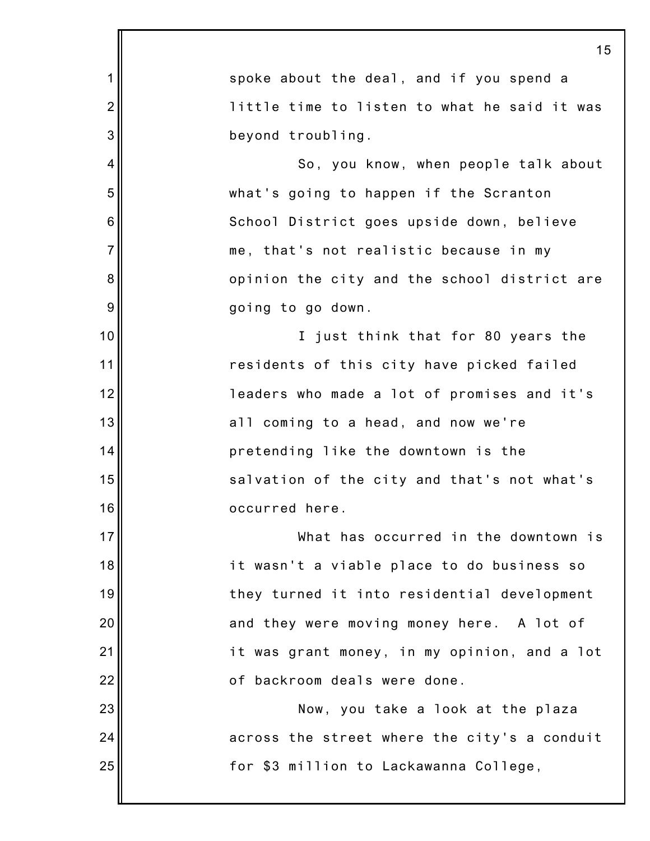|                | 15                                           |
|----------------|----------------------------------------------|
| 1              | spoke about the deal, and if you spend a     |
| $\overline{2}$ | little time to listen to what he said it was |
| 3              | beyond troubling.                            |
| 4              | So, you know, when people talk about         |
| 5              | what's going to happen if the Scranton       |
| 6              | School District goes upside down, believe    |
| $\overline{7}$ | me, that's not realistic because in my       |
| 8              | opinion the city and the school district are |
| 9              | going to go down.                            |
| 10             | I just think that for 80 years the           |
| 11             | residents of this city have picked failed    |
| 12             | leaders who made a lot of promises and it's  |
| 13             | all coming to a head, and now we're          |
| 14             | pretending like the downtown is the          |
| 15             | salvation of the city and that's not what's  |
| 16             | occurred here.                               |
| 17             | What has occurred in the downtown is         |
| 18             | it wasn't a viable place to do business so   |
| 19             | they turned it into residential development  |
| 20             | and they were moving money here. A lot of    |
| 21             | it was grant money, in my opinion, and a lot |
| 22             | of backroom deals were done.                 |
| 23             | Now, you take a look at the plaza            |
| 24             | across the street where the city's a conduit |
| 25             | for \$3 million to Lackawanna College,       |
|                |                                              |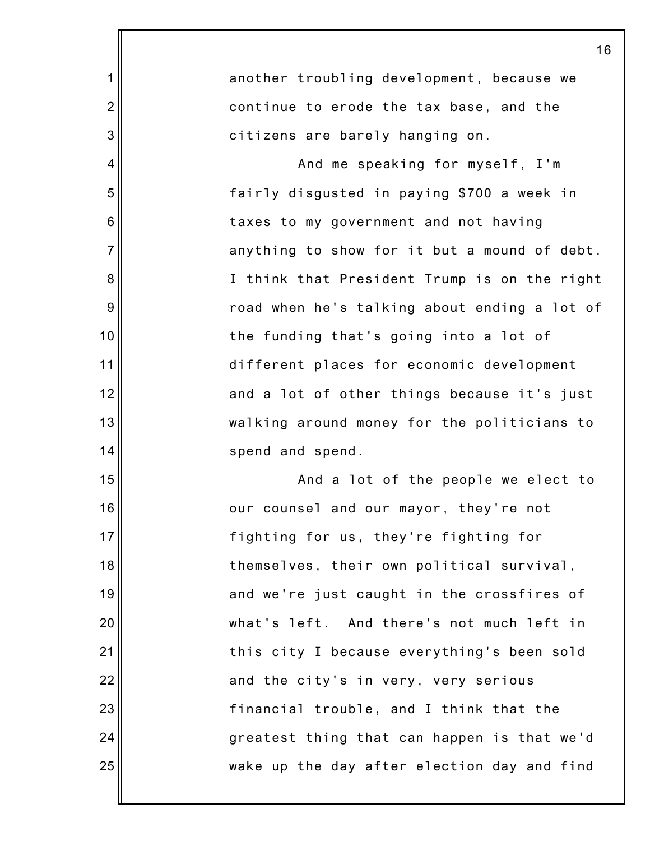|                  | 16                                           |
|------------------|----------------------------------------------|
| $\mathbf 1$      | another troubling development, because we    |
| $\overline{2}$   | continue to erode the tax base, and the      |
| $\mathbf{3}$     | citizens are barely hanging on.              |
| $\overline{4}$   | And me speaking for myself, I'm              |
| 5                | fairly disgusted in paying \$700 a week in   |
| 6                | taxes to my government and not having        |
| $\overline{7}$   | anything to show for it but a mound of debt. |
| 8                | I think that President Trump is on the right |
| $\boldsymbol{9}$ | road when he's talking about ending a lot of |
| 10               | the funding that's going into a lot of       |
| 11               | different places for economic development    |
| 12               | and a lot of other things because it's just  |
| 13               | walking around money for the politicians to  |
| 14               | spend and spend.                             |
| 15               | And a lot of the people we elect to          |
| 16               | our counsel and our mayor, they're not       |
| 17               | fighting for us, they're fighting for        |
| 18               | themselves, their own political survival,    |
| 19               | and we're just caught in the crossfires of   |
| 20               | what's left. And there's not much left in    |
| 21               | this city I because everything's been sold   |
| 22               | and the city's in very, very serious         |
| 23               | financial trouble, and I think that the      |
| 24               | greatest thing that can happen is that we'd  |
| 25               | wake up the day after election day and find  |
|                  |                                              |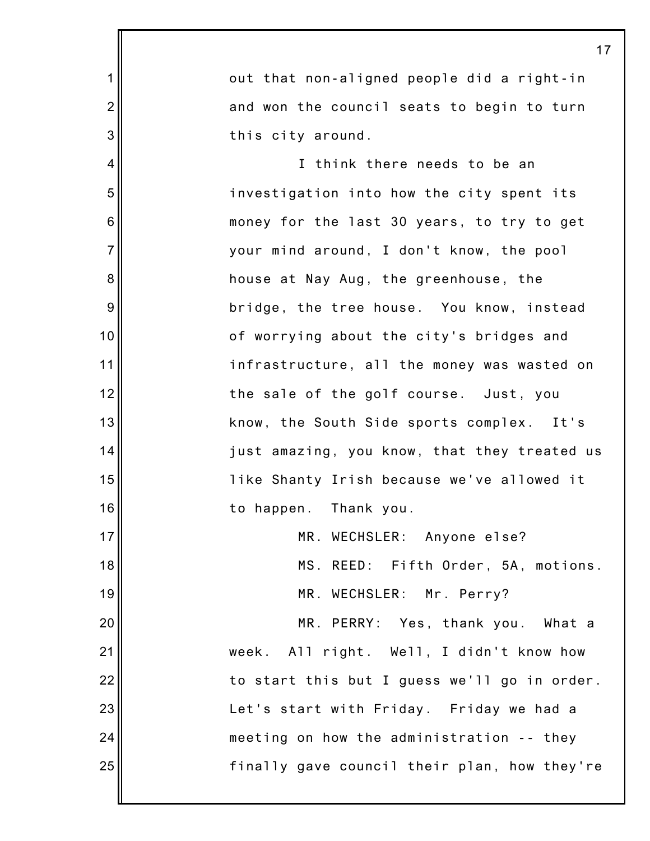|                  | 1                                            |
|------------------|----------------------------------------------|
| 1                | out that non-aligned people did a right-in   |
| $\overline{c}$   | and won the council seats to begin to turn   |
| 3                | this city around.                            |
| 4                | I think there needs to be an                 |
| 5                | investigation into how the city spent its    |
| $\,6$            | money for the last 30 years, to try to get   |
| $\overline{7}$   | your mind around, I don't know, the pool     |
| $\bf 8$          | house at Nay Aug, the greenhouse, the        |
| $\boldsymbol{9}$ | bridge, the tree house. You know, instead    |
| 10               | of worrying about the city's bridges and     |
| 11               | infrastructure, all the money was wasted on  |
| 12               | the sale of the golf course. Just, you       |
| 13               | know, the South Side sports complex. It's    |
| 14               | just amazing, you know, that they treated us |
| 15               | like Shanty Irish because we've allowed it   |
| 16               | to happen. Thank you.                        |
| 17               | MR. WECHSLER: Anyone else?                   |
| 18               | MS. REED: Fifth Order, 5A, motions.          |
| 19               | MR. WECHSLER: Mr. Perry?                     |
| 20               | MR. PERRY: Yes, thank you. What a            |
| 21               | week. All right. Well, I didn't know how     |
| 22               | to start this but I guess we'll go in order. |
| 23               | Let's start with Friday. Friday we had a     |
| 24               | meeting on how the administration -- they    |
| 25               | finally gave council their plan, how they're |
|                  |                                              |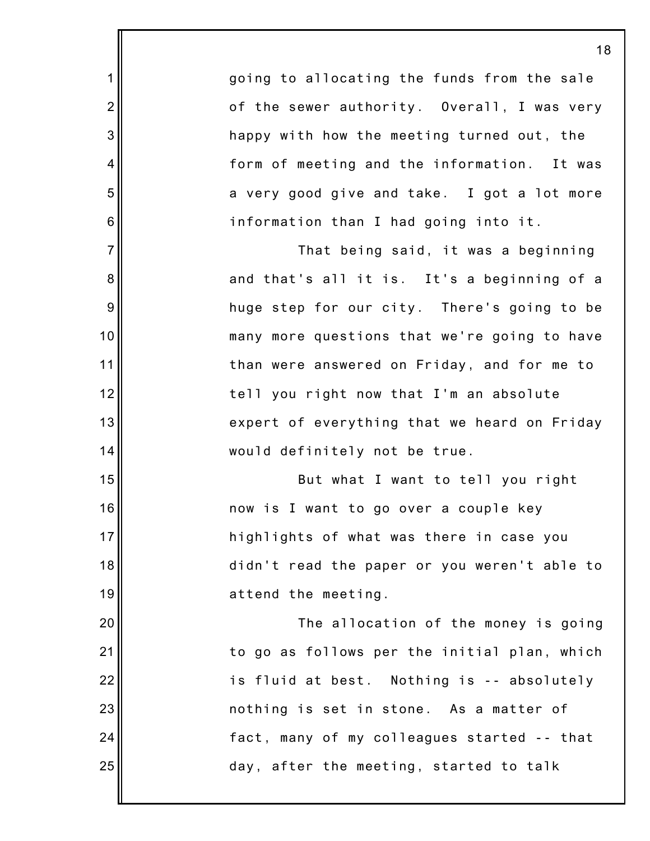going to allocating the funds from the sale of the sewer authority. Overall, I was very happy with how the meeting turned out, the form of meeting and the information. It was a very good give and take. I got a lot more information than I had going into it.

1

2

3

4

5

6

7

8

9

10

11

12

13

14

15

16

17

18

19

20

21

22

23

24

25

That being said, it was a beginning and that's all it is. It's a beginning of a huge step for our city. There's going to be many more questions that we're going to have than were answered on Friday, and for me to tell you right now that I'm an absolute expert of everything that we heard on Friday would definitely not be true.

But what I want to tell you right now is I want to go over a couple key highlights of what was there in case you didn't read the paper or you weren't able to attend the meeting.

The allocation of the money is going to go as follows per the initial plan, which is fluid at best. Nothing is -- absolutely nothing is set in stone. As a matter of fact, many of my colleagues started -- that day, after the meeting, started to talk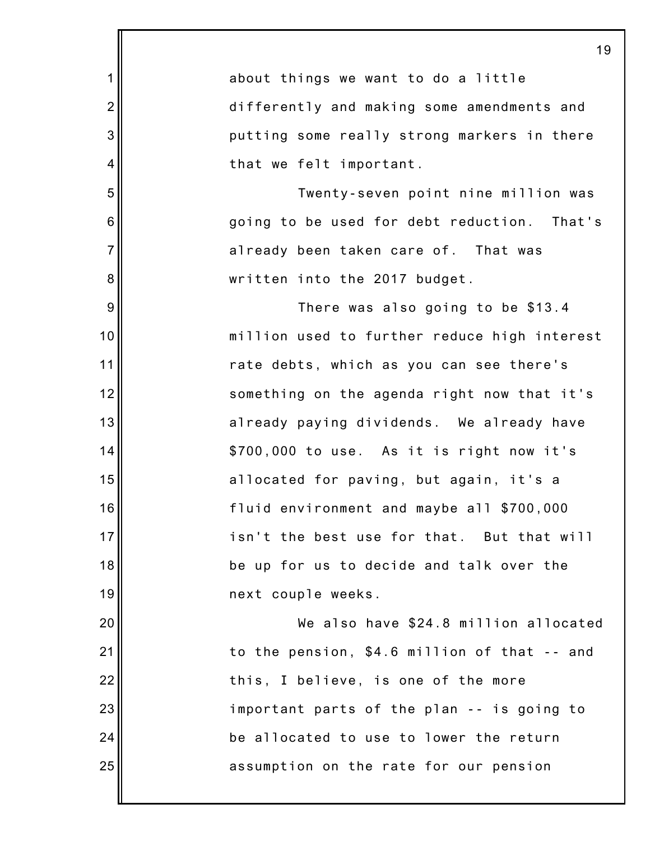|                | 19                                           |
|----------------|----------------------------------------------|
| $\mathbf 1$    | about things we want to do a little          |
| $\overline{2}$ | differently and making some amendments and   |
| 3              | putting some really strong markers in there  |
| $\overline{4}$ | that we felt important.                      |
| 5              | Twenty-seven point nine million was          |
| 6              | going to be used for debt reduction. That's  |
| $\overline{7}$ | already been taken care of. That was         |
| 8              | written into the 2017 budget.                |
| 9              | There was also going to be \$13.4            |
| 10             | million used to further reduce high interest |
| 11             | rate debts, which as you can see there's     |
| 12             | something on the agenda right now that it's  |
| 13             | already paying dividends. We already have    |
| 14             | \$700,000 to use. As it is right now it's    |
| 15             | allocated for paving, but again, it's a      |
| 16             | fluid environment and maybe all \$700,000    |
| 17             | isn't the best use for that. But that will   |
| 18             | be up for us to decide and talk over the     |
| 19             | next couple weeks.                           |
| 20             | We also have \$24.8 million allocated        |
| 21             | to the pension, \$4.6 million of that -- and |
| 22             | this, I believe, is one of the more          |
| 23             | important parts of the plan -- is going to   |
| 24             | be allocated to use to lower the return      |
| 25             | assumption on the rate for our pension       |
|                |                                              |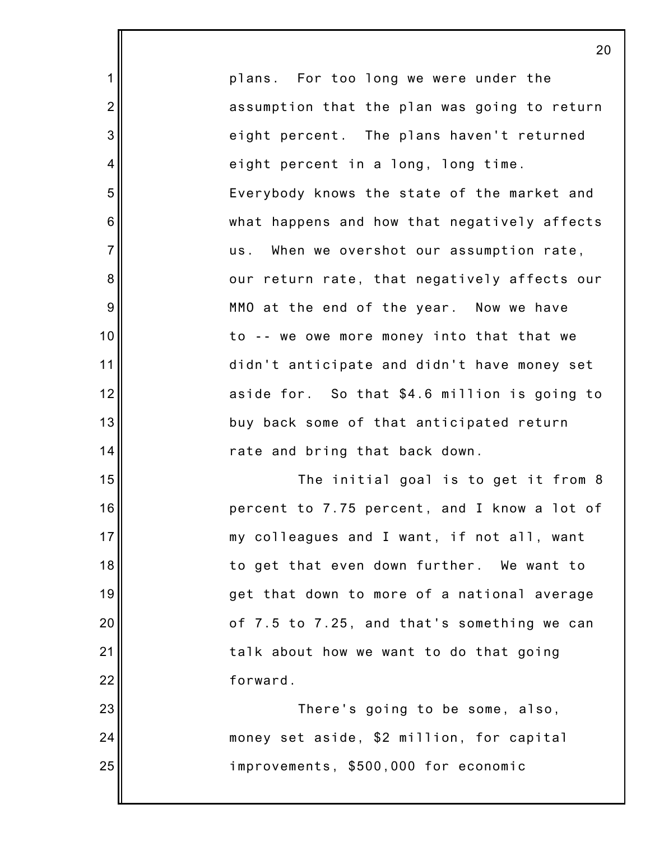plans. For too long we were under the assumption that the plan was going to return eight percent. The plans haven't returned eight percent in a long, long time. Everybody knows the state of the market and what happens and how that negatively affects us. When we overshot our assumption rate, our return rate, that negatively affects our MMO at the end of the year. Now we have to -- we owe more money into that that we didn't anticipate and didn't have money set aside for. So that \$4.6 million is going to buy back some of that anticipated return rate and bring that back down.

1

2

3

4

5

6

7

8

9

10

11

12

13

14

15

16

17

18

19

20

21

22

23

24

25

The initial goal is to get it from 8 percent to 7.75 percent, and I know a lot of my colleagues and I want, if not all, want to get that even down further. We want to get that down to more of a national average of 7.5 to 7.25, and that's something we can talk about how we want to do that going forward.

There's going to be some, also, money set aside, \$2 million, for capital improvements, \$500,000 for economic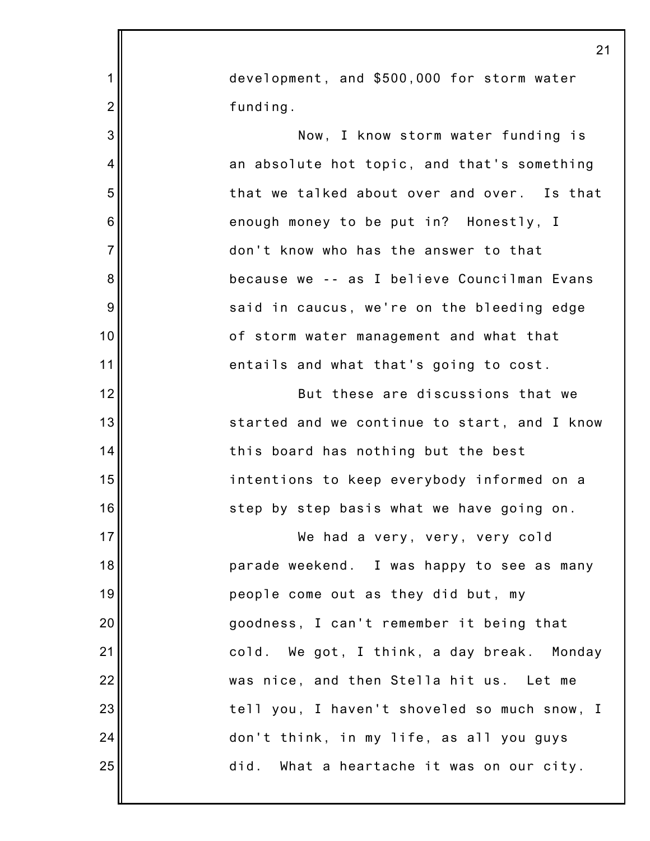|                  | $2^{\cdot}$                                  |
|------------------|----------------------------------------------|
| 1                | development, and \$500,000 for storm water   |
| $\overline{2}$   | funding.                                     |
| 3                | Now, I know storm water funding is           |
| 4                | an absolute hot topic, and that's something  |
| 5                | that we talked about over and over. Is that  |
| $\,6$            | enough money to be put in? Honestly, I       |
| $\overline{7}$   | don't know who has the answer to that        |
| 8                | because we -- as I believe Councilman Evans  |
| $\boldsymbol{9}$ | said in caucus, we're on the bleeding edge   |
| 10               | of storm water management and what that      |
| 11               | entails and what that's going to cost.       |
| 12               | But these are discussions that we            |
| 13               | started and we continue to start, and I know |
| 14               | this board has nothing but the best          |
| 15               | intentions to keep everybody informed on a   |
| 16               | step by step basis what we have going on.    |
| 17               | We had a very, very, very cold               |
| 18               | parade weekend. I was happy to see as many   |
| 19               | people come out as they did but, my          |
| 20               | goodness, I can't remember it being that     |
| 21               | cold. We got, I think, a day break. Monday   |
| 22               | was nice, and then Stella hit us. Let me     |
| 23               | tell you, I haven't shoveled so much snow, I |
| 24               | don't think, in my life, as all you guys     |
| 25               | did. What a heartache it was on our city.    |
|                  |                                              |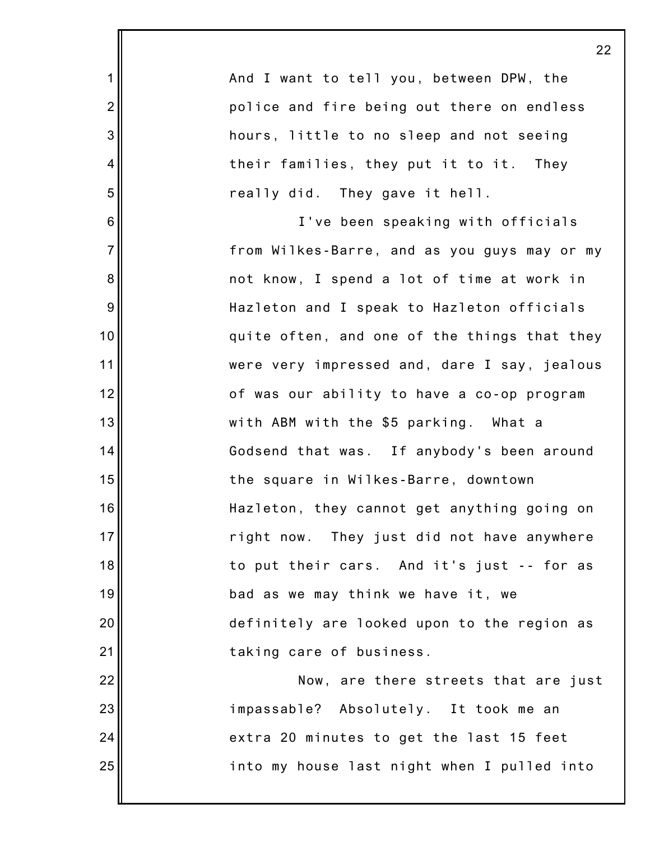|                | 22                                           |
|----------------|----------------------------------------------|
| 1              | And I want to tell you, between DPW, the     |
| $\overline{2}$ | police and fire being out there on endless   |
| 3              | hours, little to no sleep and not seeing     |
| 4              | their families, they put it to it. They      |
| 5              | really did. They gave it hell.               |
| 6              | I've been speaking with officials            |
| $\overline{7}$ | from Wilkes-Barre, and as you guys may or my |
| 8              | not know, I spend a lot of time at work in   |
| $9\,$          | Hazleton and I speak to Hazleton officials   |
| 10             | quite often, and one of the things that they |
| 11             | were very impressed and, dare I say, jealous |
| 12             | of was our ability to have a co-op program   |
| 13             | with ABM with the \$5 parking. What a        |
| 14             | Godsend that was. If anybody's been around   |
| 15             | the square in Wilkes-Barre, downtown         |
| 16             | Hazleton, they cannot get anything going on  |
| 17             | right now. They just did not have anywhere   |
| 18             | to put their cars. And it's just -- for as   |
| 19             | bad as we may think we have it, we           |
| 20             | definitely are looked upon to the region as  |
| 21             | taking care of business.                     |
| 22             | Now, are there streets that are just         |
| 23             | impassable? Absolutely. It took me an        |
| 24             | extra 20 minutes to get the last 15 feet     |
| 25             | into my house last night when I pulled into  |
|                |                                              |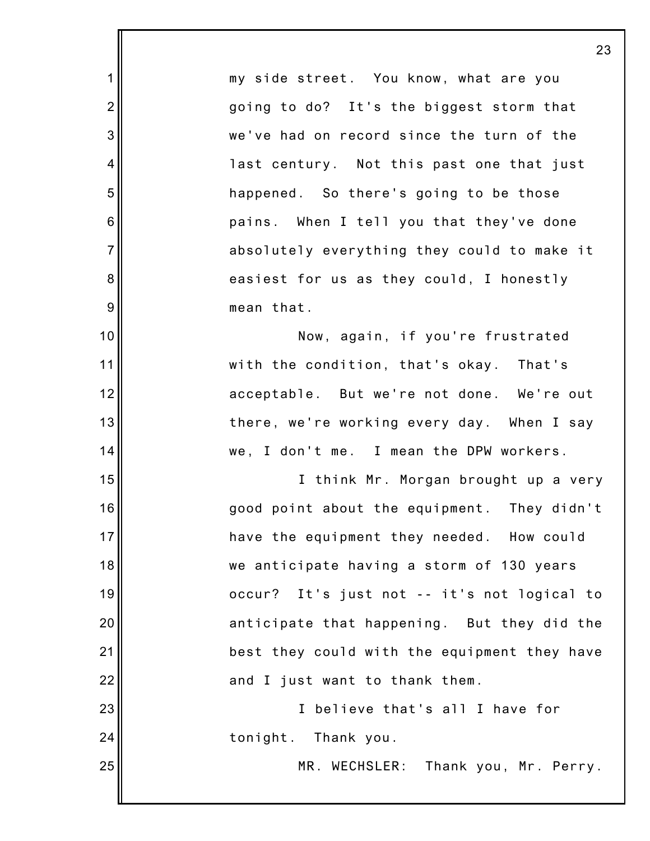my side street. You know, what are you going to do? It's the biggest storm that we've had on record since the turn of the last century. Not this past one that just happened. So there's going to be those pains. When I tell you that they've done absolutely everything they could to make it easiest for us as they could, I honestly mean that.

1

2

3

4

5

6

7

8

9

10

11

12

13

14

15

16

17

18

19

20

21

22

23

24

25

Now, again, if you're frustrated with the condition, that's okay. That's acceptable. But we're not done. We're out there, we're working every day. When I say we, I don't me. I mean the DPW workers.

I think Mr. Morgan brought up a very good point about the equipment. They didn't have the equipment they needed. How could we anticipate having a storm of 130 years occur? It's just not -- it's not logical to anticipate that happening. But they did the best they could with the equipment they have and I just want to thank them.

I believe that's all I have for tonight. Thank you.

MR. WECHSLER: Thank you, Mr. Perry.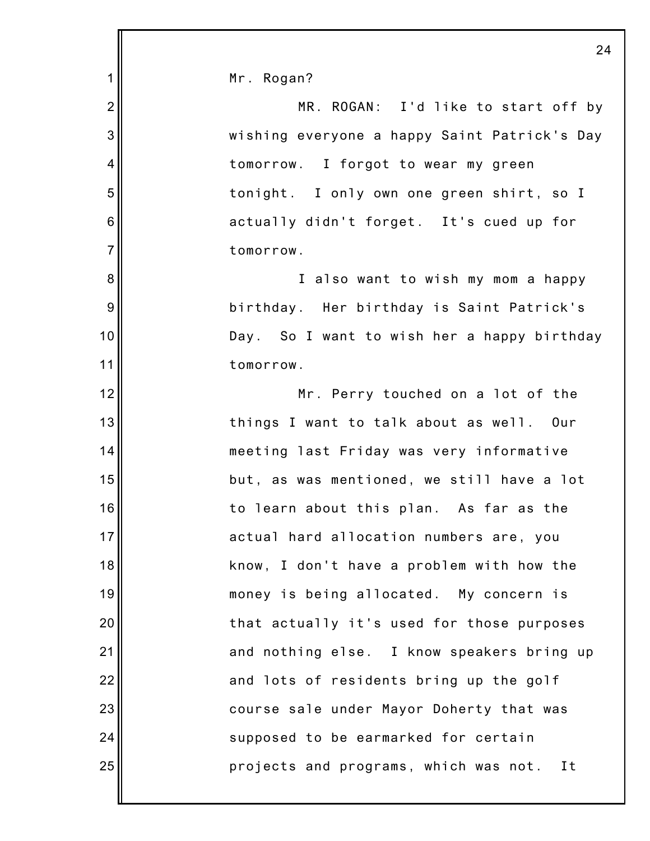|                | 2 <sub>4</sub>                               |
|----------------|----------------------------------------------|
| 1              | Mr. Rogan?                                   |
| $\overline{2}$ | MR. ROGAN: I'd like to start off by          |
| 3              | wishing everyone a happy Saint Patrick's Day |
| 4              | tomorrow. I forgot to wear my green          |
| 5              | tonight. I only own one green shirt, so I    |
| $\,6$          | actually didn't forget. It's cued up for     |
| $\overline{7}$ | tomorrow.                                    |
| 8              | I also want to wish my mom a happy           |
| 9              | birthday. Her birthday is Saint Patrick's    |
| 10             | Day. So I want to wish her a happy birthday  |
| 11             | tomorrow.                                    |
| 12             | Mr. Perry touched on a lot of the            |
| 13             | things I want to talk about as well. Our     |
| 14             | meeting last Friday was very informative     |
| 15             | but, as was mentioned, we still have a lot   |
| 16             | to learn about this plan. As far as the      |
| 17             | actual hard allocation numbers are, you      |
| 18             | know, I don't have a problem with how the    |
| 19             | money is being allocated. My concern is      |
| 20             | that actually it's used for those purposes   |
| 21             | and nothing else. I know speakers bring up   |
| 22             | and lots of residents bring up the golf      |
| 23             | course sale under Mayor Doherty that was     |
| 24             | supposed to be earmarked for certain         |
| 25             | projects and programs, which was not. It     |
|                |                                              |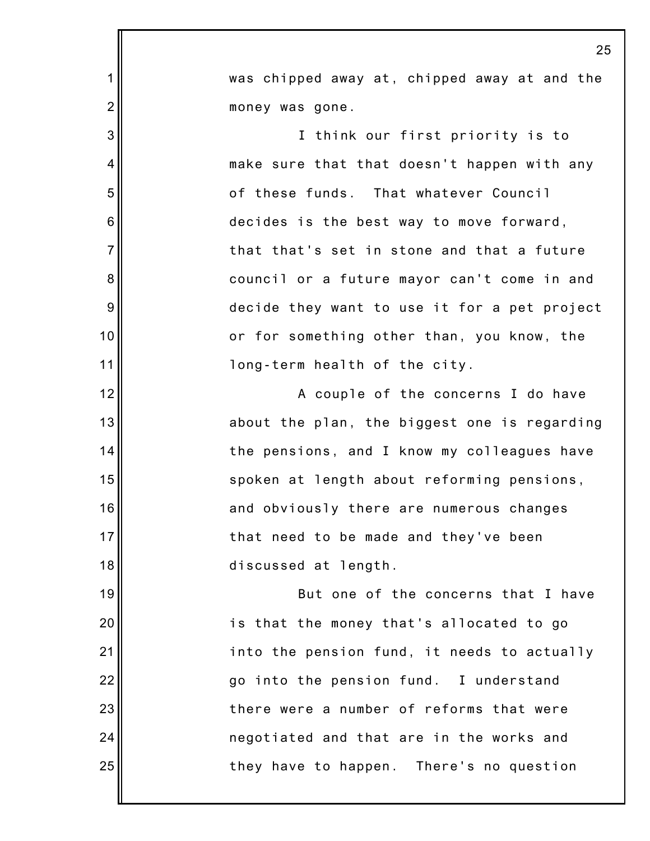|                  | 25                                           |
|------------------|----------------------------------------------|
| $\mathbf{1}$     | was chipped away at, chipped away at and the |
| $\overline{2}$   | money was gone.                              |
| 3                | I think our first priority is to             |
| $\overline{4}$   | make sure that that doesn't happen with any  |
| 5                | of these funds. That whatever Council        |
| $\,6$            | decides is the best way to move forward,     |
| $\overline{7}$   | that that's set in stone and that a future   |
| 8                | council or a future mayor can't come in and  |
| $\boldsymbol{9}$ | decide they want to use it for a pet project |
| 10               | or for something other than, you know, the   |
| 11               | long-term health of the city.                |
| 12               | A couple of the concerns I do have           |
| 13               | about the plan, the biggest one is regarding |
| 14               | the pensions, and I know my colleagues have  |
| 15               | spoken at length about reforming pensions,   |
| 16               | and obviously there are numerous changes     |
| 17               | that need to be made and they've been        |
| 18               | discussed at length.                         |
| 19               | But one of the concerns that I have          |
| 20               | is that the money that's allocated to go     |
| 21               | into the pension fund, it needs to actually  |
| 22               | go into the pension fund. I understand       |
| 23               | there were a number of reforms that were     |
| 24               | negotiated and that are in the works and     |
| 25               | they have to happen. There's no question     |
|                  |                                              |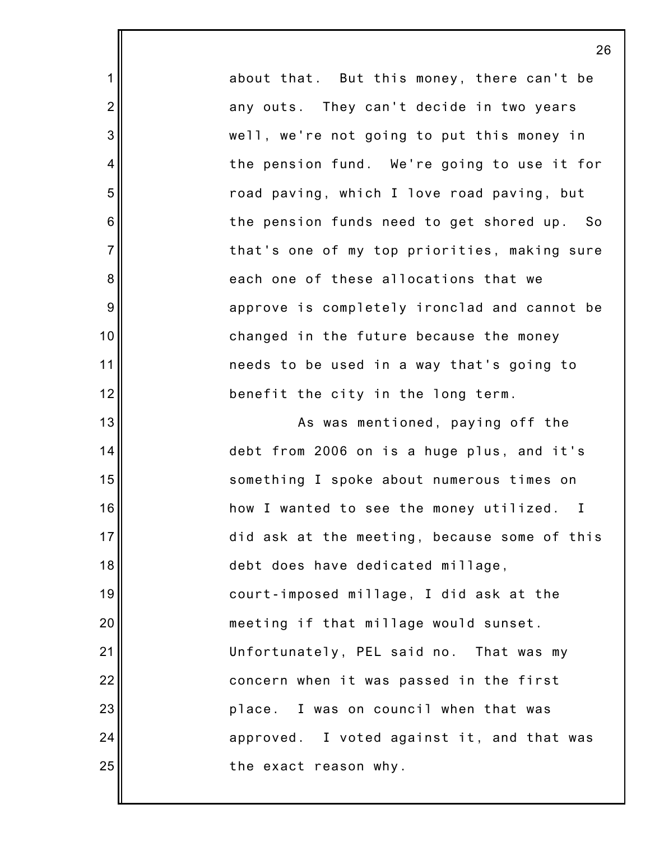about that. But this money, there can't be any outs. They can't decide in two years well, we're not going to put this money in the pension fund. We're going to use it for road paving, which I love road paving, but the pension funds need to get shored up. So that's one of my top priorities, making sure each one of these allocations that we approve is completely ironclad and cannot be changed in the future because the money needs to be used in a way that's going to benefit the city in the long term. As was mentioned, paying off the debt from 2006 on is a huge plus, and it's

1

2

3

4

5

6

7

8

9

10

11

12

13

14

15

16

17

18

19

20

21

22

23

24

25

something I spoke about numerous times on how I wanted to see the money utilized. I did ask at the meeting, because some of this debt does have dedicated millage, court-imposed millage, I did ask at the meeting if that millage would sunset. Unfortunately, PEL said no. That was my concern when it was passed in the first place. I was on council when that was approved. I voted against it, and that was the exact reason why.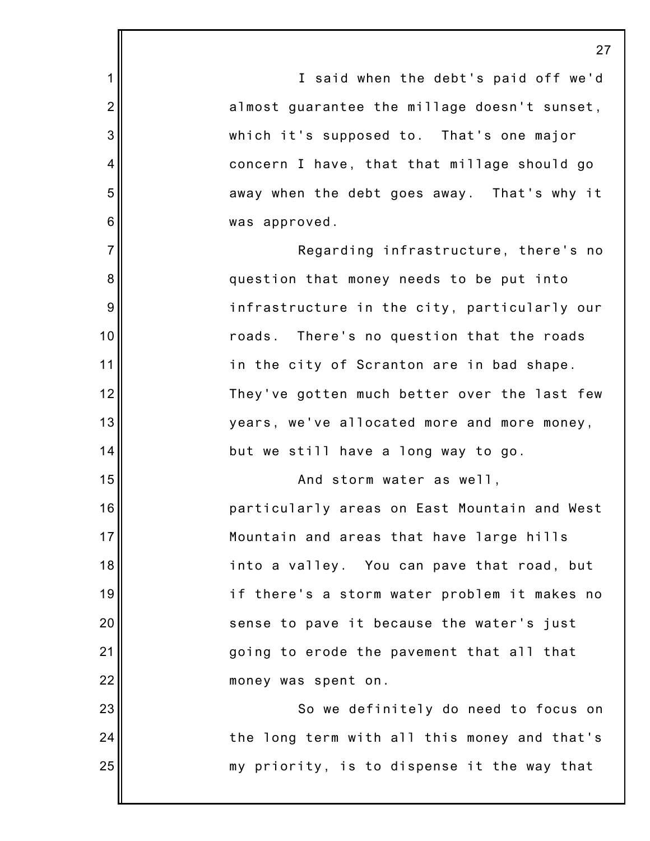1 2 3 4 5 6 7 8 9 10 11 12 13 14 15 16 17 18 19 20 21 22 23 24 25 27 I said when the debt's paid off we'd almost guarantee the millage doesn't sunset, which it's supposed to. That's one major concern I have, that that millage should go away when the debt goes away. That's why it was approved. Regarding infrastructure, there's no question that money needs to be put into infrastructure in the city, particularly our roads. There's no question that the roads in the city of Scranton are in bad shape. They've gotten much better over the last few years, we've allocated more and more money, but we still have a long way to go. And storm water as well, particularly areas on East Mountain and West Mountain and areas that have large hills into a valley. You can pave that road, but if there's a storm water problem it makes no sense to pave it because the water's just going to erode the pavement that all that money was spent on. So we definitely do need to focus on the long term with all this money and that's my priority, is to dispense it the way that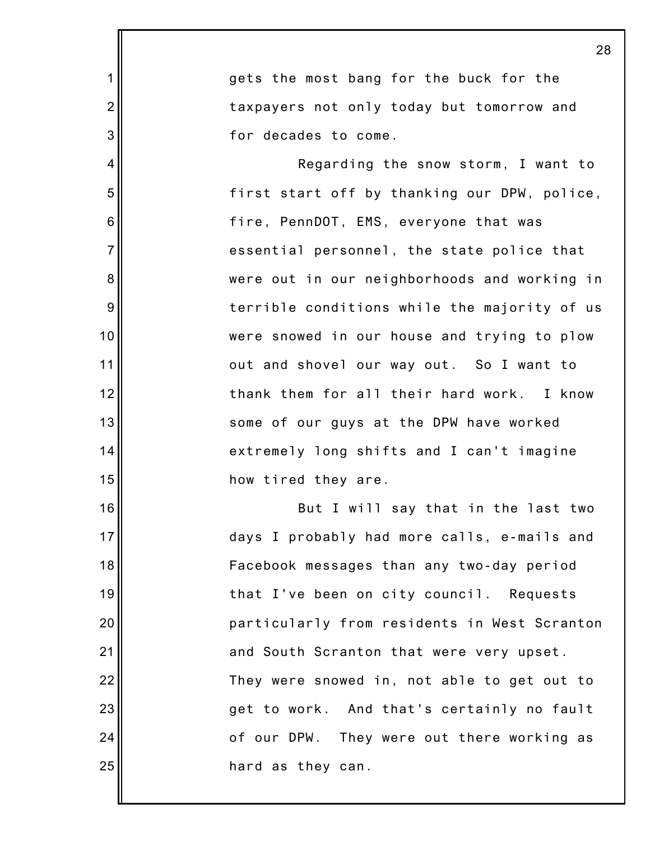|                | 28                                           |
|----------------|----------------------------------------------|
| $\mathbf 1$    | gets the most bang for the buck for the      |
| $\overline{2}$ | taxpayers not only today but tomorrow and    |
| 3              | for decades to come.                         |
| $\overline{4}$ | Regarding the snow storm, I want to          |
| 5              | first start off by thanking our DPW, police, |
| 6              | fire, PennDOT, EMS, everyone that was        |
| $\overline{7}$ | essential personnel, the state police that   |
| 8              | were out in our neighborhoods and working in |
| 9              | terrible conditions while the majority of us |
| 10             | were snowed in our house and trying to plow  |
| 11             | out and shovel our way out. So I want to     |
| 12             | thank them for all their hard work. I know   |
| 13             | some of our guys at the DPW have worked      |
| 14             | extremely long shifts and I can't imagine    |
| 15             | how tired they are.                          |
| 16             | But I will say that in the last two          |
| 17             | days I probably had more calls, e-mails and  |
| 18             | Facebook messages than any two-day period    |
| 19             | that I've been on city council. Requests     |
| 20             | particularly from residents in West Scranton |
| 21             | and South Scranton that were very upset.     |
| 22             | They were snowed in, not able to get out to  |
| 23             | get to work. And that's certainly no fault   |
| 24             | of our DPW. They were out there working as   |
| 25             | hard as they can.                            |
|                |                                              |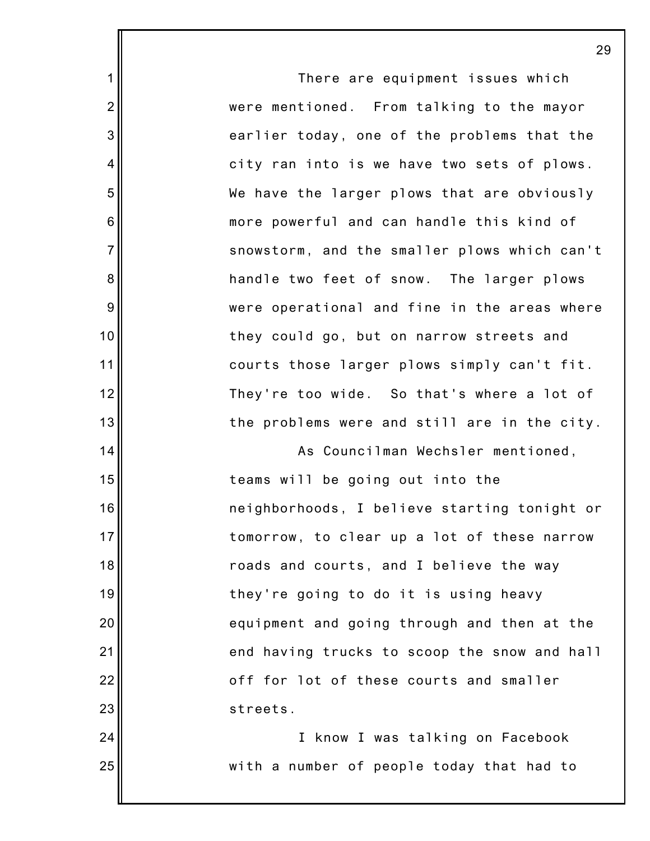There are equipment issues which were mentioned. From talking to the mayor earlier today, one of the problems that the city ran into is we have two sets of plows. We have the larger plows that are obviously more powerful and can handle this kind of snowstorm, and the smaller plows which can't handle two feet of snow. The larger plows were operational and fine in the areas where they could go, but on narrow streets and courts those larger plows simply can't fit. They're too wide. So that's where a lot of the problems were and still are in the city. As Councilman Wechsler mentioned, teams will be going out into the

1

2

3

4

5

6

7

8

9

10

11

12

13

14

15

16

17

18

19

20

21

22

23

24

25

neighborhoods, I believe starting tonight or tomorrow, to clear up a lot of these narrow roads and courts, and I believe the way they're going to do it is using heavy equipment and going through and then at the end having trucks to scoop the snow and hall off for lot of these courts and smaller streets.

I know I was talking on Facebook with a number of people today that had to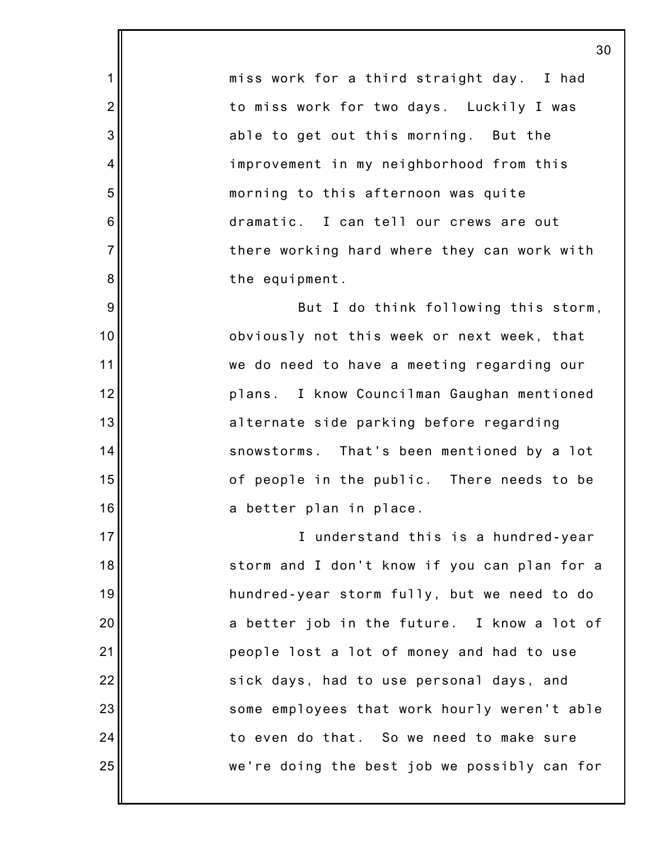miss work for a third straight day. I had to miss work for two days. Luckily I was able to get out this morning. But the improvement in my neighborhood from this morning to this afternoon was quite dramatic. I can tell our crews are out there working hard where they can work with the equipment.

1

2

3

4

5

6

7

8

9

10

11

12

13

14

15

16

17

18

19

20

21

22

23

24

25

But I do think following this storm, obviously not this week or next week, that we do need to have a meeting regarding our plans. I know Councilman Gaughan mentioned alternate side parking before regarding snowstorms. That's been mentioned by a lot of people in the public. There needs to be a better plan in place.

I understand this is a hundred-year storm and I don't know if you can plan for a hundred-year storm fully, but we need to do a better job in the future. I know a lot of people lost a lot of money and had to use sick days, had to use personal days, and some employees that work hourly weren't able to even do that. So we need to make sure we're doing the best job we possibly can for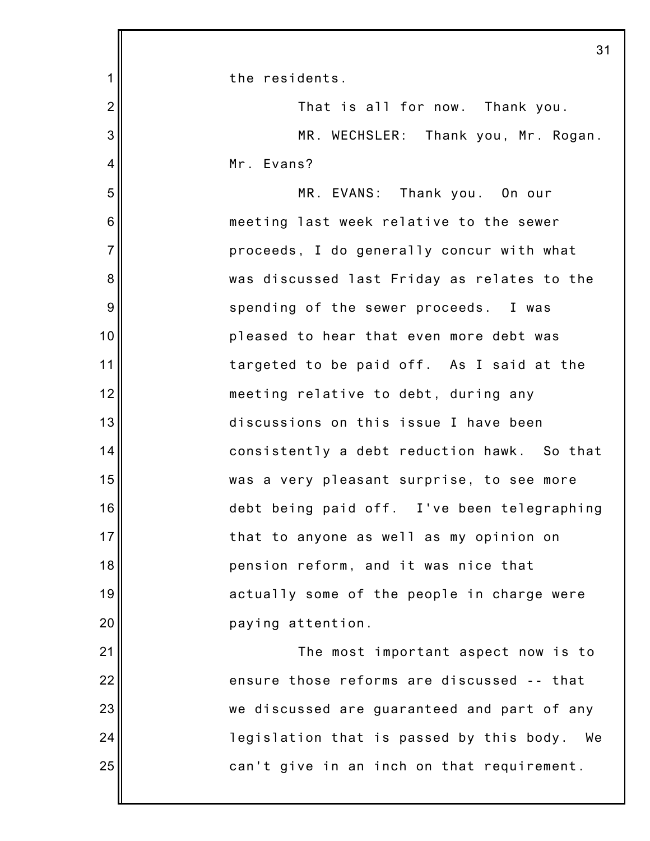|                 | 31                                             |
|-----------------|------------------------------------------------|
| 1               | the residents.                                 |
| $\overline{2}$  | That is all for now. Thank you.                |
| 3               | MR. WECHSLER: Thank you, Mr. Rogan.            |
| 4               | Mr. Evans?                                     |
| 5               | MR. EVANS: Thank you. On our                   |
| $6\phantom{1}6$ | meeting last week relative to the sewer        |
| $\overline{7}$  | proceeds, I do generally concur with what      |
| 8               | was discussed last Friday as relates to the    |
| $9\,$           | spending of the sewer proceeds. I was          |
| 10              | pleased to hear that even more debt was        |
| 11              | targeted to be paid off. As I said at the      |
| 12              | meeting relative to debt, during any           |
| 13              | discussions on this issue I have been          |
| 14              | consistently a debt reduction hawk. So that    |
| 15              | was a very pleasant surprise, to see more      |
| 16              | debt being paid off. I've been telegraphing    |
| 17              | that to anyone as well as my opinion on        |
| 18              | pension reform, and it was nice that           |
| 19              | actually some of the people in charge were     |
| 20              | paying attention.                              |
| 21              | The most important aspect now is to            |
| 22              | ensure those reforms are discussed -- that     |
| 23              | we discussed are guaranteed and part of any    |
| 24              | legislation that is passed by this body.<br>We |
| 25              | can't give in an inch on that requirement.     |
|                 |                                                |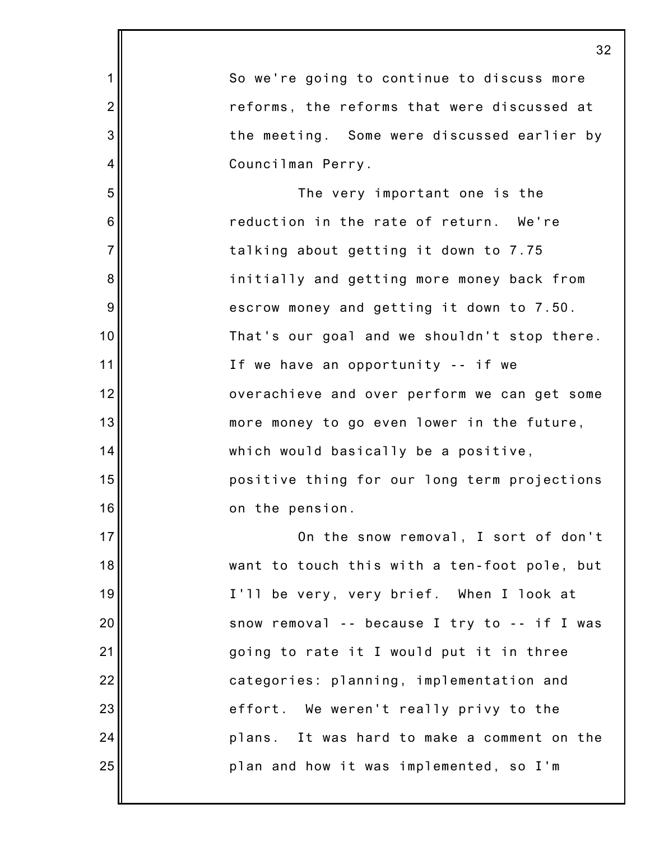|                | 3 <sub>2</sub>                               |
|----------------|----------------------------------------------|
| 1              | So we're going to continue to discuss more   |
| $\overline{2}$ | reforms, the reforms that were discussed at  |
| 3              | the meeting. Some were discussed earlier by  |
| 4              | Councilman Perry.                            |
| 5              | The very important one is the                |
| 6              | reduction in the rate of return. We're       |
| $\overline{7}$ | talking about getting it down to 7.75        |
| 8              | initially and getting more money back from   |
| 9              | escrow money and getting it down to 7.50.    |
| 10             | That's our goal and we shouldn't stop there. |
| 11             | If we have an opportunity -- if we           |
| 12             | overachieve and over perform we can get some |
| 13             | more money to go even lower in the future,   |
| 14             | which would basically be a positive,         |
| 15             | positive thing for our long term projections |
| 16             | on the pension.                              |
| 17             | On the snow removal, I sort of don't         |
| 18             | want to touch this with a ten-foot pole, but |
| 19             | I'll be very, very brief. When I look at     |
| 20             | snow removal -- because I try to -- if I was |
| 21             | going to rate it I would put it in three     |
| 22             | categories: planning, implementation and     |
| 23             | effort. We weren't really privy to the       |
| 24             | plans. It was hard to make a comment on the  |
| 25             | plan and how it was implemented, so I'm      |
|                |                                              |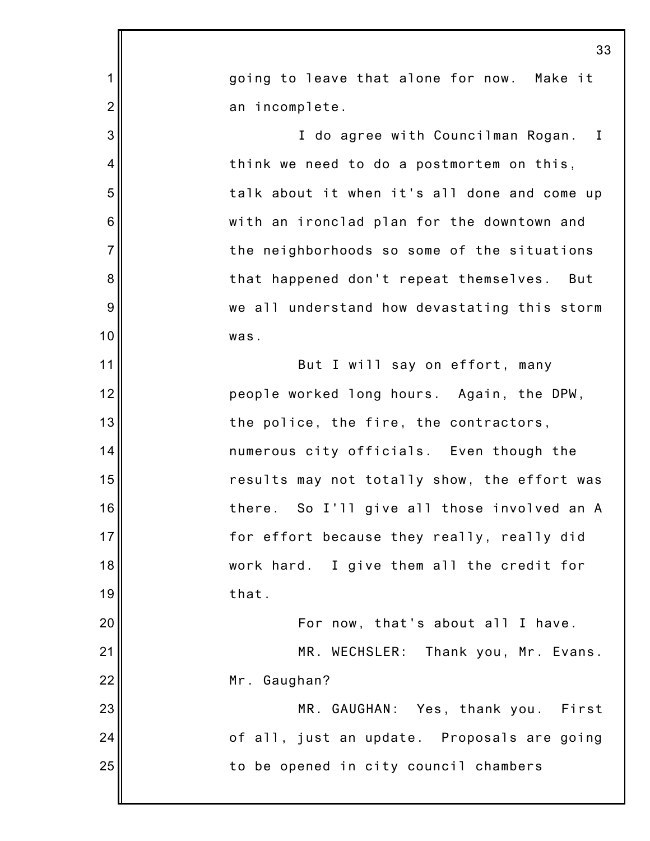|                | 33                                            |
|----------------|-----------------------------------------------|
| 1              | going to leave that alone for now. Make it    |
| $\overline{2}$ | an incomplete.                                |
| 3              | I do agree with Councilman Rogan. I           |
| 4              | think we need to do a postmortem on this,     |
| 5              | talk about it when it's all done and come up  |
| 6              | with an ironclad plan for the downtown and    |
| $\overline{7}$ | the neighborhoods so some of the situations   |
| 8              | that happened don't repeat themselves.<br>But |
| 9              | we all understand how devastating this storm  |
| 10             | was.                                          |
| 11             | But I will say on effort, many                |
| 12             | people worked long hours. Again, the DPW,     |
| 13             | the police, the fire, the contractors,        |
| 14             | numerous city officials. Even though the      |
| 15             | results may not totally show, the effort was  |
| 16             | there. So I'll give all those involved an A   |
| 17             | for effort because they really, really did    |
| 18             | work hard. I give them all the credit for     |
| 19             | that.                                         |
| 20             | For now, that's about all I have.             |
| 21             | MR. WECHSLER: Thank you, Mr. Evans.           |
| 22             | Mr. Gaughan?                                  |
| 23             | MR. GAUGHAN: Yes, thank you. First            |
| 24             | of all, just an update. Proposals are going   |
| 25             | to be opened in city council chambers         |
|                |                                               |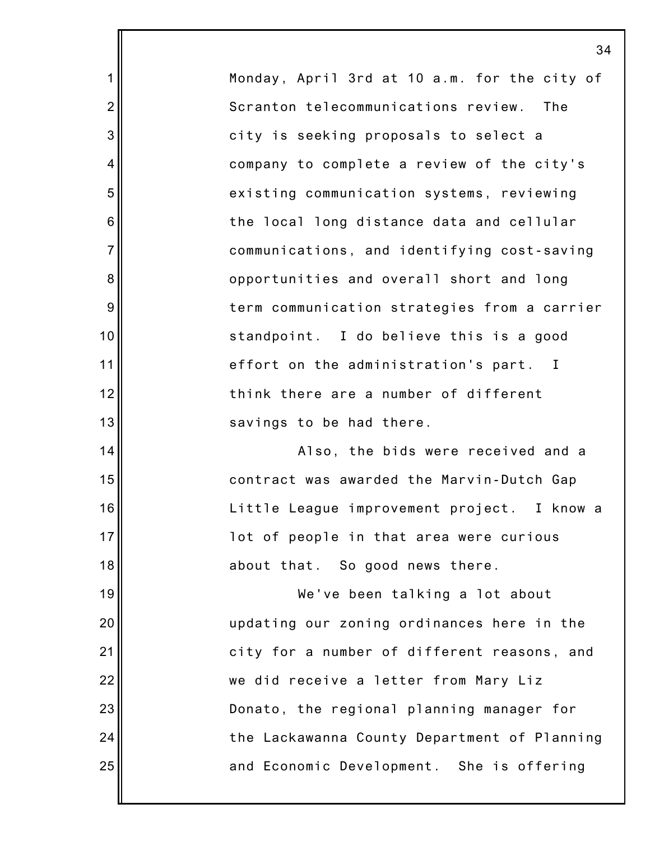Monday, April 3rd at 10 a.m. for the city of Scranton telecommunications review. The city is seeking proposals to select a company to complete a review of the city's existing communication systems, reviewing the local long distance data and cellular communications, and identifying cost-saving opportunities and overall short and long term communication strategies from a carrier standpoint. I do believe this is a good effort on the administration's part. I think there are a number of different savings to be had there.

1

2

3

4

5

6

7

8

9

10

11

12

13

14

15

16

17

18

19

20

21

22

23

24

25

Also, the bids were received and a contract was awarded the Marvin-Dutch Gap Little League improvement project. I know a lot of people in that area were curious about that. So good news there.

We've been talking a lot about updating our zoning ordinances here in the city for a number of different reasons, and we did receive a letter from Mary Liz Donato, the regional planning manager for the Lackawanna County Department of Planning and Economic Development. She is offering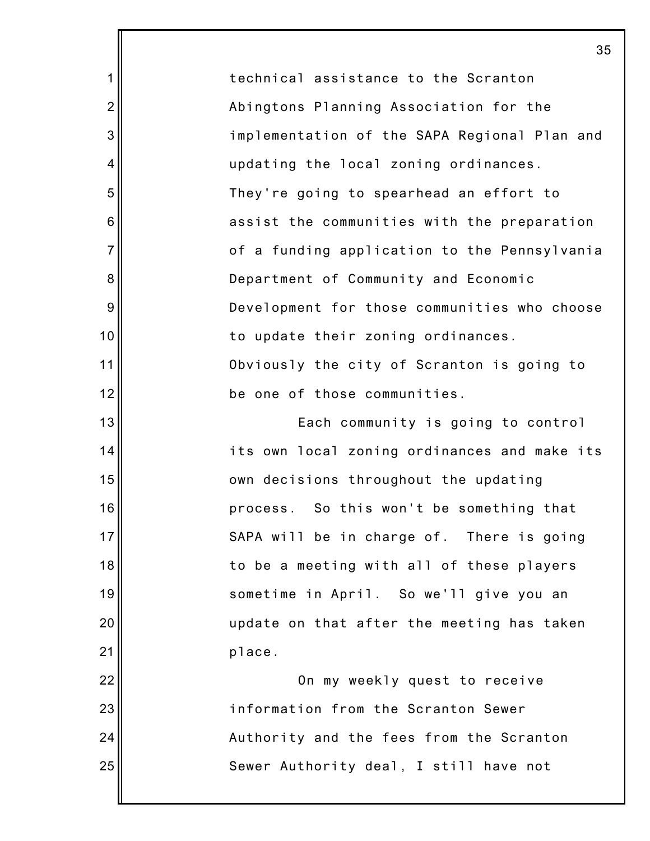technical assistance to the Scranton Abingtons Planning Association for the implementation of the SAPA Regional Plan and updating the local zoning ordinances. They're going to spearhead an effort to assist the communities with the preparation of a funding application to the Pennsylvania Department of Community and Economic Development for those communities who choose to update their zoning ordinances. Obviously the city of Scranton is going to be one of those communities.

1

2

3

4

5

6

7

8

9

10

11

12

13

14

15

16

17

18

19

20

21

22

23

24

25

Each community is going to control its own local zoning ordinances and make its own decisions throughout the updating process. So this won't be something that SAPA will be in charge of. There is going to be a meeting with all of these players sometime in April. So we'll give you an update on that after the meeting has taken place.

On my weekly quest to receive information from the Scranton Sewer Authority and the fees from the Scranton Sewer Authority deal, I still have not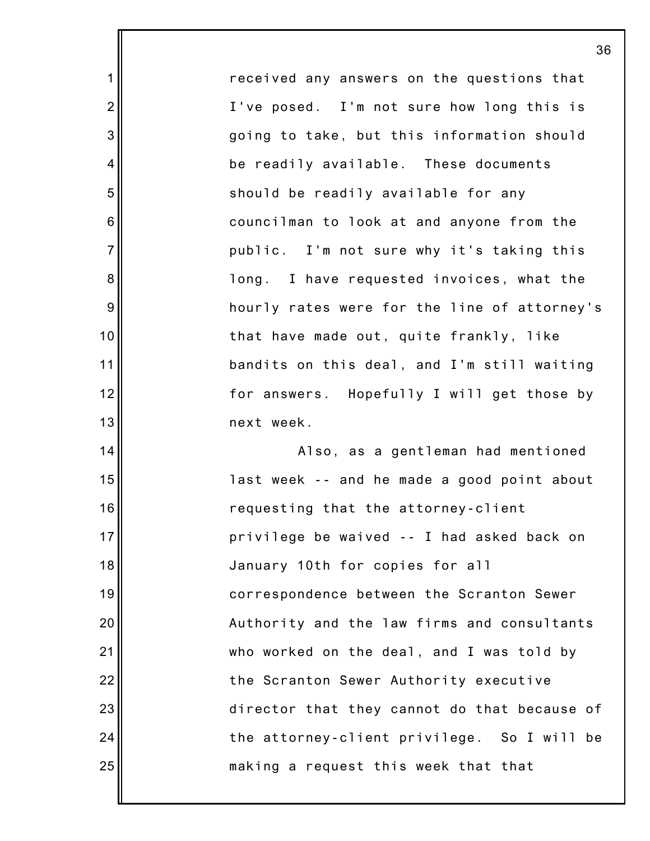received any answers on the questions that I've posed. I'm not sure how long this is going to take, but this information should be readily available. These documents should be readily available for any councilman to look at and anyone from the public. I'm not sure why it's taking this long. I have requested invoices, what the hourly rates were for the line of attorney's that have made out, quite frankly, like bandits on this deal, and I'm still waiting for answers. Hopefully I will get those by next week.

1

2

3

4

5

6

7

8

9

10

11

12

13

14

15

16

17

18

19

20

21

22

23

24

25

Also, as a gentleman had mentioned last week -- and he made a good point about requesting that the attorney-client privilege be waived -- I had asked back on January 10th for copies for all correspondence between the Scranton Sewer Authority and the law firms and consultants who worked on the deal, and I was told by the Scranton Sewer Authority executive director that they cannot do that because of the attorney-client privilege. So I will be making a request this week that that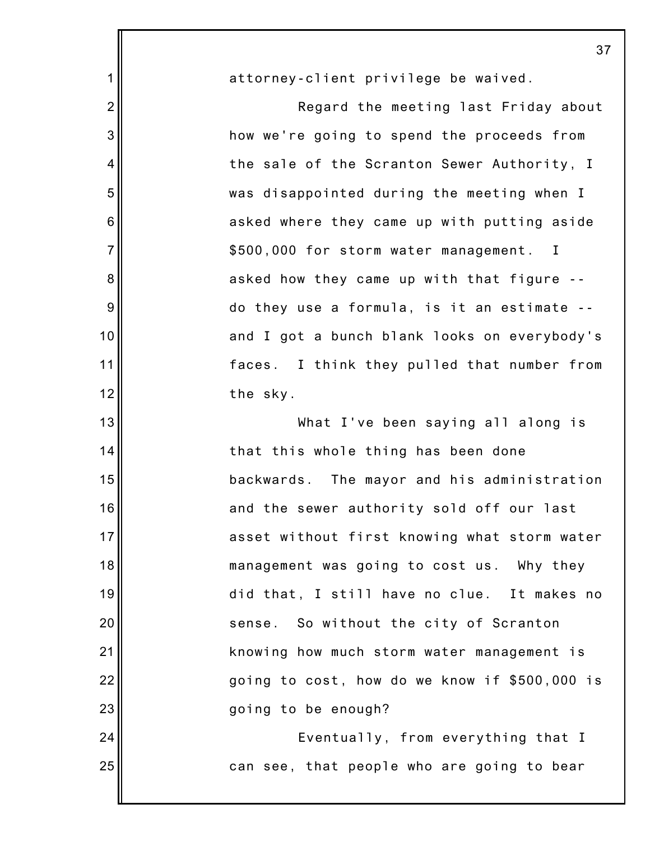|                | $3^{\circ}$                                    |
|----------------|------------------------------------------------|
| 1              | attorney-client privilege be waived.           |
| $\overline{2}$ | Regard the meeting last Friday about           |
| 3              | how we're going to spend the proceeds from     |
| 4              | the sale of the Scranton Sewer Authority, I    |
| 5              | was disappointed during the meeting when I     |
| 6              | asked where they came up with putting aside    |
| $\overline{7}$ | \$500,000 for storm water management. I        |
| 8              | asked how they came up with that figure --     |
| 9              | do they use a formula, is it an estimate --    |
| 10             | and I got a bunch blank looks on everybody's   |
| 11             | faces. I think they pulled that number from    |
| 12             | the sky.                                       |
| 13             | What I've been saying all along is             |
| 14             | that this whole thing has been done            |
| 15             | backwards.<br>The mayor and his administration |
| 16             | and the sewer authority sold off our last      |
| 17             | asset without first knowing what storm water   |
| 18             | management was going to cost us. Why they      |
| 19             | did that, I still have no clue. It makes no    |
| 20             | sense. So without the city of Scranton         |
| 21             | knowing how much storm water management is     |
| 22             | going to cost, how do we know if \$500,000 is  |
| 23             | going to be enough?                            |
| 24             | Eventually, from everything that I             |
| 25             | can see, that people who are going to bear     |
|                |                                                |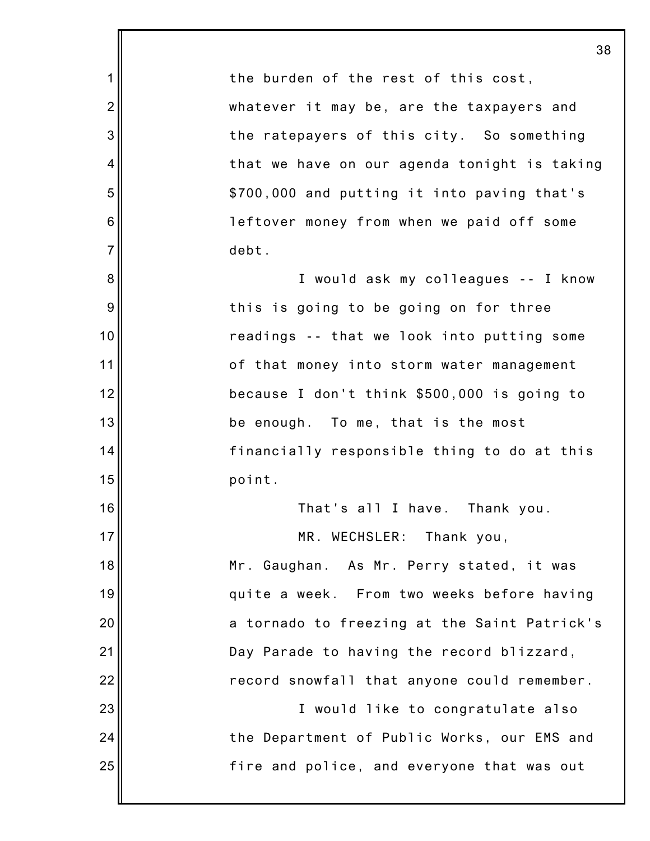|                | 38                                           |
|----------------|----------------------------------------------|
| 1              | the burden of the rest of this cost,         |
| $\overline{2}$ | whatever it may be, are the taxpayers and    |
| 3              | the ratepayers of this city. So something    |
| 4              | that we have on our agenda tonight is taking |
| 5              | \$700,000 and putting it into paving that's  |
| 6              | leftover money from when we paid off some    |
| $\overline{7}$ | debt.                                        |
| 8              | I would ask my colleagues -- I know          |
| 9              | this is going to be going on for three       |
| 10             | readings -- that we look into putting some   |
| 11             | of that money into storm water management    |
| 12             | because I don't think \$500,000 is going to  |
| 13             | be enough. To me, that is the most           |
| 14             | financially responsible thing to do at this  |
| 15             | point.                                       |
| 16             | That's all I have. Thank you.                |
| 17             | MR. WECHSLER:<br>Thank you,                  |
| 18             | Mr. Gaughan. As Mr. Perry stated, it was     |
| 19             | quite a week. From two weeks before having   |
| 20             | a tornado to freezing at the Saint Patrick's |
| 21             | Day Parade to having the record blizzard,    |
| 22             | record snowfall that anyone could remember.  |
| 23             | I would like to congratulate also            |
| 24             | the Department of Public Works, our EMS and  |
| 25             | fire and police, and everyone that was out   |
|                |                                              |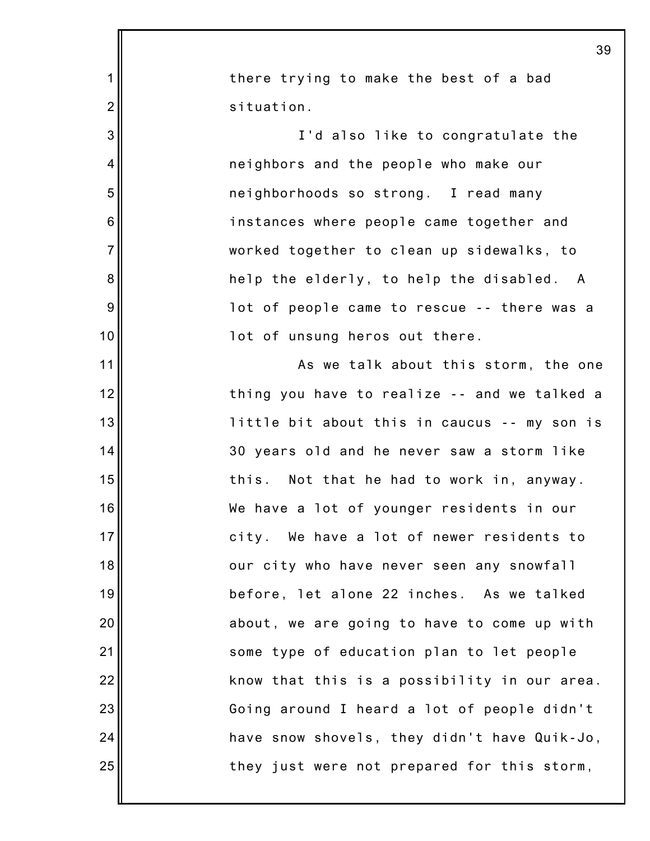|                | 39                                           |
|----------------|----------------------------------------------|
| 1              | there trying to make the best of a bad       |
| $\overline{2}$ | situation.                                   |
| 3              | I'd also like to congratulate the            |
| 4              | neighbors and the people who make our        |
| 5              | neighborhoods so strong. I read many         |
| 6              | instances where people came together and     |
| $\overline{7}$ | worked together to clean up sidewalks, to    |
| 8              | help the elderly, to help the disabled. A    |
| 9              | lot of people came to rescue -- there was a  |
| 10             | lot of unsung heros out there.               |
| 11             | As we talk about this storm, the one         |
| 12             | thing you have to realize -- and we talked a |
| 13             | little bit about this in caucus -- my son is |
| 14             | 30 years old and he never saw a storm like   |
| 15             | Not that he had to work in, anyway.<br>this. |
| 16             | We have a lot of younger residents in our    |
| 17             | city. We have a lot of newer residents to    |
| 18             | our city who have never seen any snowfall    |
| 19             | before, let alone 22 inches. As we talked    |
| 20             | about, we are going to have to come up with  |
| 21             | some type of education plan to let people    |
| 22             | know that this is a possibility in our area. |
| 23             | Going around I heard a lot of people didn't  |
| 24             | have snow shovels, they didn't have Quik-Jo, |
| 25             | they just were not prepared for this storm,  |
|                |                                              |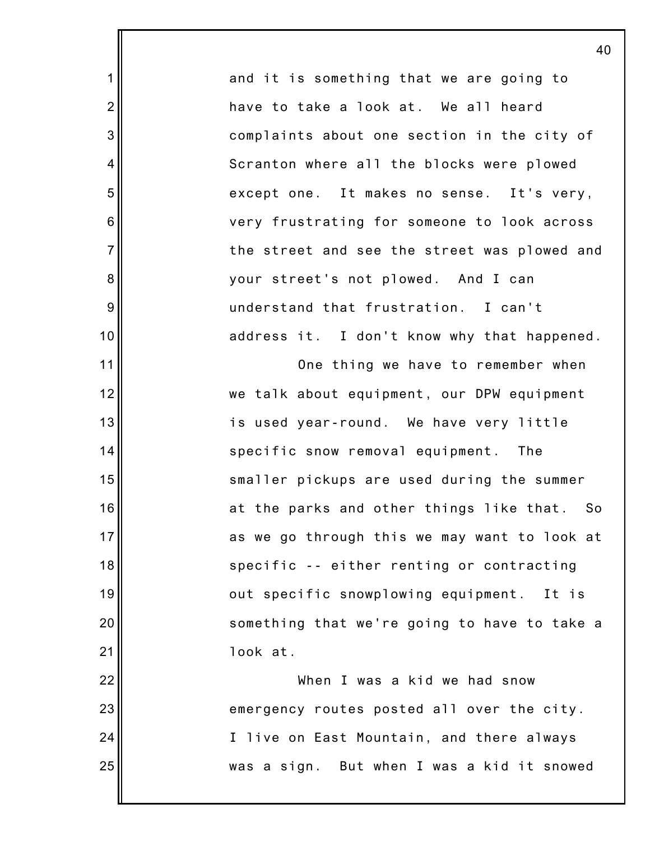and it is something that we are going to have to take a look at. We all heard complaints about one section in the city of Scranton where all the blocks were plowed except one. It makes no sense. It's very, very frustrating for someone to look across the street and see the street was plowed and your street's not plowed. And I can understand that frustration. I can't address it. I don't know why that happened. One thing we have to remember when we talk about equipment, our DPW equipment is used year-round. We have very little

1

2

3

4

5

6

7

8

9

10

11

12

13

14

15

16

17

18

19

20

21

specific snow removal equipment. The smaller pickups are used during the summer at the parks and other things like that. So as we go through this we may want to look at specific -- either renting or contracting out specific snowplowing equipment. It is something that we're going to have to take a look at.

22 23 24 25 When I was a kid we had snow emergency routes posted all over the city. I live on East Mountain, and there always was a sign. But when I was a kid it snowed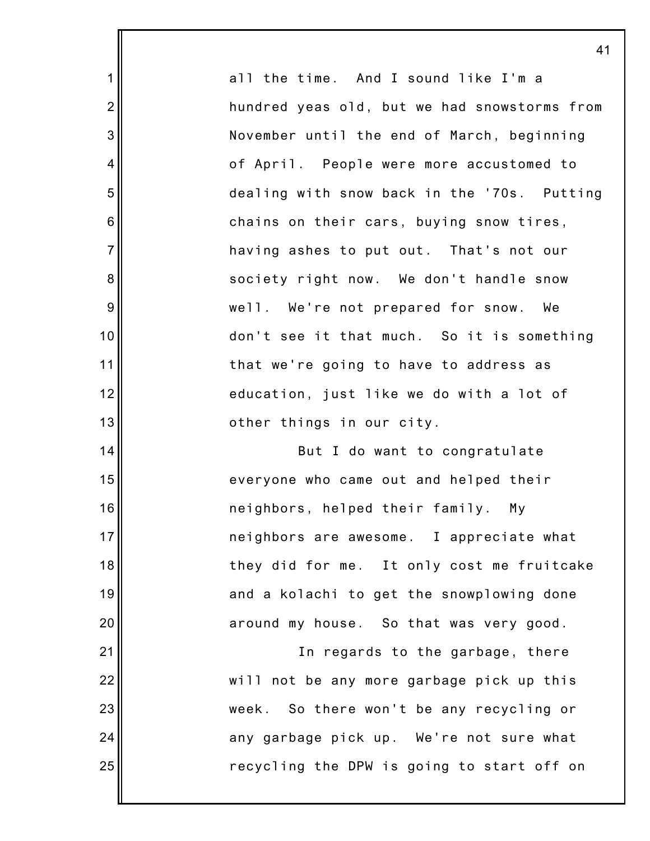all the time. And I sound like I'm a hundred yeas old, but we had snowstorms from November until the end of March, beginning of April. People were more accustomed to dealing with snow back in the '70s. Putting chains on their cars, buying snow tires, having ashes to put out. That's not our society right now. We don't handle snow well. We're not prepared for snow. We don't see it that much. So it is something that we're going to have to address as education, just like we do with a lot of other things in our city. But I do want to congratulate everyone who came out and helped their neighbors, helped their family. My

1

2

3

4

5

6

7

8

9

10

11

12

13

14

15

16

17

18

19

20

21

22

23

24

25

neighbors are awesome. I appreciate what they did for me. It only cost me fruitcake and a kolachi to get the snowplowing done around my house. So that was very good. In regards to the garbage, there will not be any more garbage pick up this week. So there won't be any recycling or any garbage pick up. We're not sure what recycling the DPW is going to start off on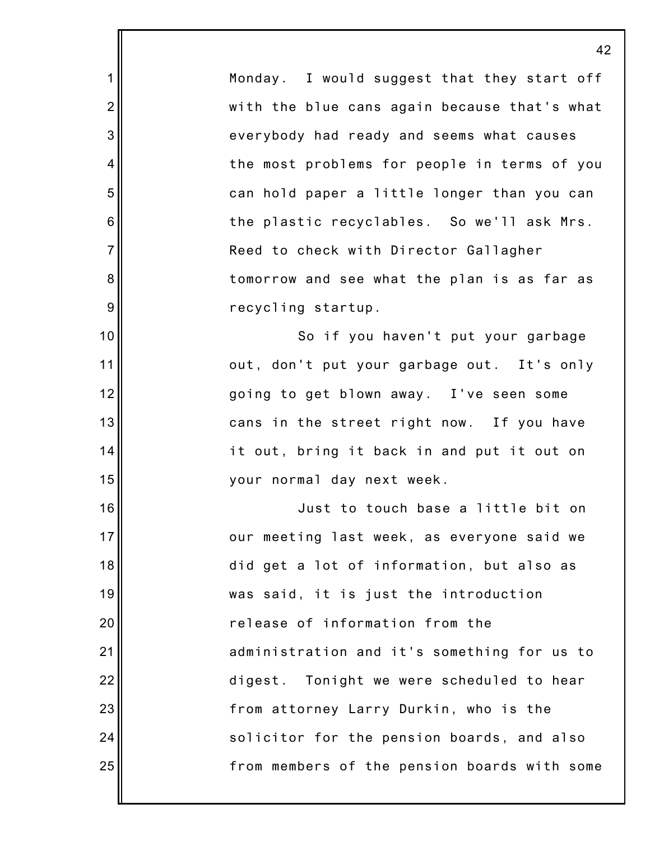Monday. I would suggest that they start off with the blue cans again because that's what everybody had ready and seems what causes the most problems for people in terms of you can hold paper a little longer than you can the plastic recyclables. So we'll ask Mrs. Reed to check with Director Gallagher tomorrow and see what the plan is as far as recycling startup.

1

2

3

4

5

6

7

8

9

10

11

12

13

14

15

16

17

18

19

20

21

22

23

24

25

So if you haven't put your garbage out, don't put your garbage out. It's only going to get blown away. I've seen some cans in the street right now. If you have it out, bring it back in and put it out on your normal day next week.

Just to touch base a little bit on our meeting last week, as everyone said we did get a lot of information, but also as was said, it is just the introduction release of information from the administration and it's something for us to digest. Tonight we were scheduled to hear from attorney Larry Durkin, who is the solicitor for the pension boards, and also from members of the pension boards with some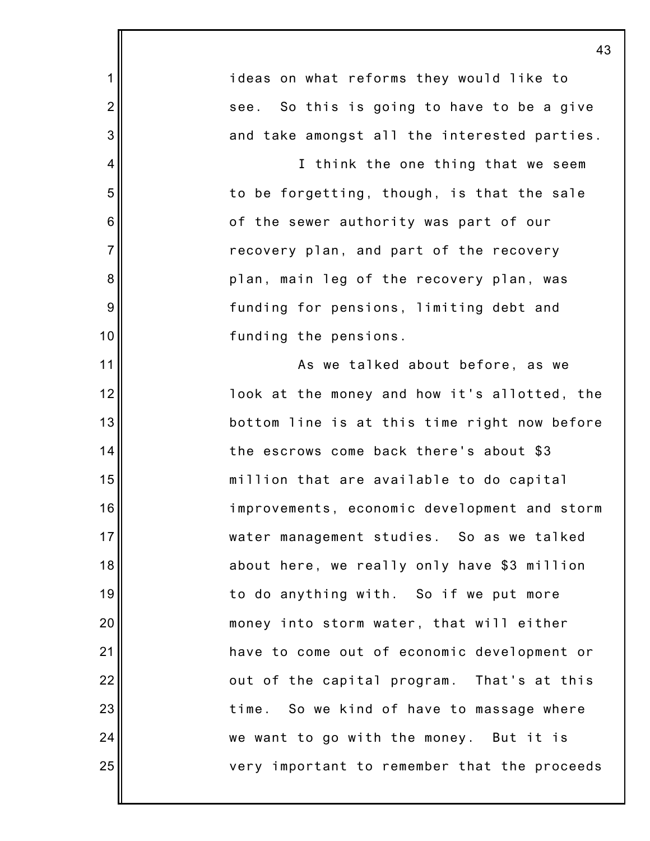|                | 43                                           |
|----------------|----------------------------------------------|
| 1              | ideas on what reforms they would like to     |
| $\overline{2}$ | see. So this is going to have to be a give   |
| 3              | and take amongst all the interested parties. |
| 4              | I think the one thing that we seem           |
| 5              | to be forgetting, though, is that the sale   |
| 6              | of the sewer authority was part of our       |
| $\overline{7}$ | recovery plan, and part of the recovery      |
| 8              | plan, main leg of the recovery plan, was     |
| 9              | funding for pensions, limiting debt and      |
| 10             | funding the pensions.                        |
| 11             | As we talked about before, as we             |
| 12             | look at the money and how it's allotted, the |
| 13             | bottom line is at this time right now before |
| 14             | the escrows come back there's about \$3      |
| 15             | million that are available to do capital     |
| 16             | improvements, economic development and storm |
| 17             | water management studies. So as we talked    |
| 18             | about here, we really only have \$3 million  |
| 19             | to do anything with. So if we put more       |
| 20             | money into storm water, that will either     |
| 21             | have to come out of economic development or  |
| 22             | out of the capital program. That's at this   |
| 23             | time. So we kind of have to massage where    |
| 24             | we want to go with the money. But it is      |
| 25             | very important to remember that the proceeds |
|                |                                              |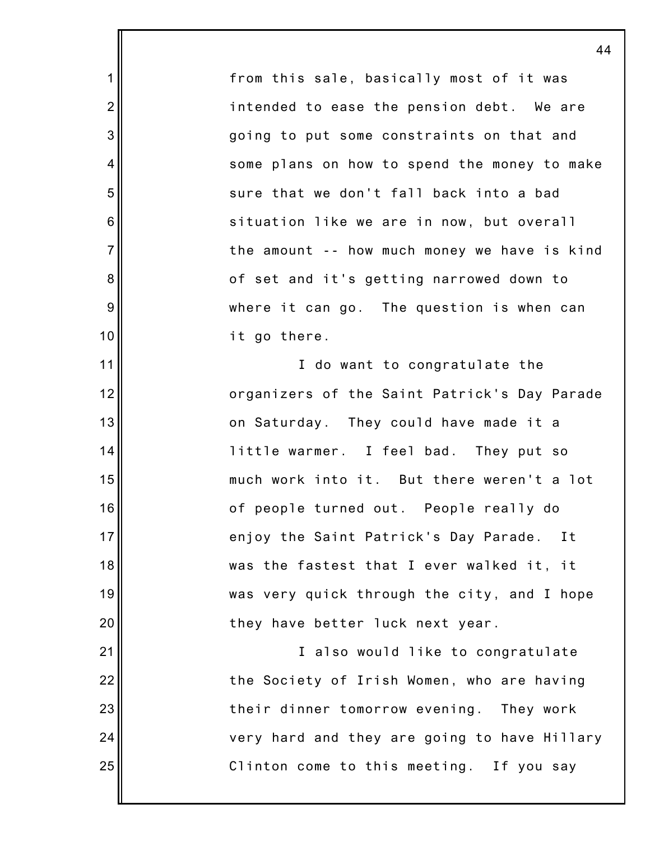from this sale, basically most of it was intended to ease the pension debt. We are going to put some constraints on that and some plans on how to spend the money to make sure that we don't fall back into a bad situation like we are in now, but overall the amount -- how much money we have is kind of set and it's getting narrowed down to where it can go. The question is when can it go there.

1

2

3

4

5

6

7

8

9

10

11

12

13

14

15

16

17

18

19

20

21

22

23

24

25

I do want to congratulate the organizers of the Saint Patrick's Day Parade on Saturday. They could have made it a little warmer. I feel bad. They put so much work into it. But there weren't a lot of people turned out. People really do enjoy the Saint Patrick's Day Parade. It was the fastest that I ever walked it, it was very quick through the city, and I hope they have better luck next year.

I also would like to congratulate the Society of Irish Women, who are having their dinner tomorrow evening. They work very hard and they are going to have Hillary Clinton come to this meeting. If you say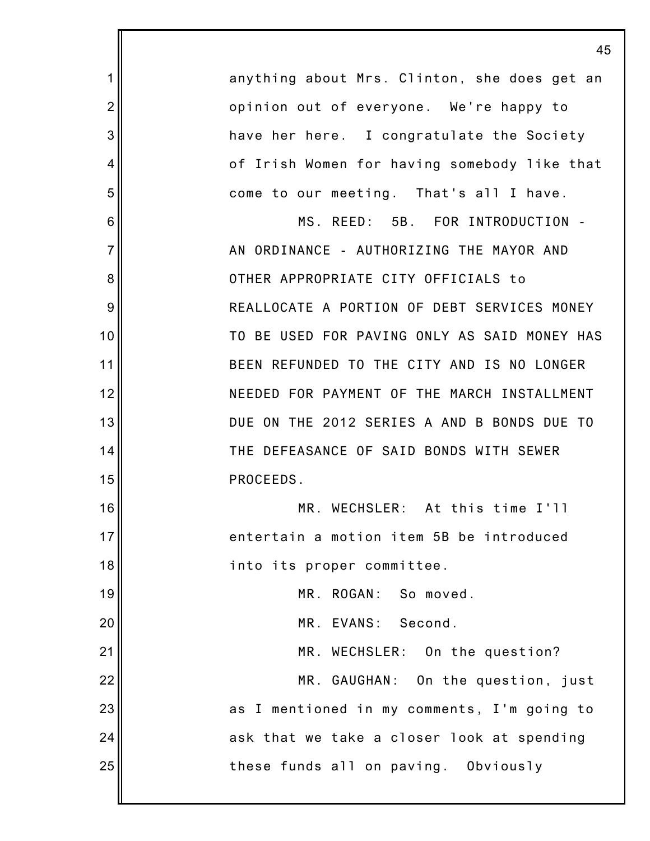|                | 45                                           |
|----------------|----------------------------------------------|
| 1              | anything about Mrs. Clinton, she does get an |
| $\overline{2}$ | opinion out of everyone. We're happy to      |
| 3              | have her here. I congratulate the Society    |
| 4              | of Irish Women for having somebody like that |
| 5              | come to our meeting. That's all I have.      |
| 6              | MS. REED: 5B. FOR INTRODUCTION -             |
| $\overline{7}$ | AN ORDINANCE - AUTHORIZING THE MAYOR AND     |
| 8              | OTHER APPROPRIATE CITY OFFICIALS to          |
| 9              | REALLOCATE A PORTION OF DEBT SERVICES MONEY  |
| 10             | TO BE USED FOR PAVING ONLY AS SAID MONEY HAS |
| 11             | BEEN REFUNDED TO THE CITY AND IS NO LONGER   |
| 12             | NEEDED FOR PAYMENT OF THE MARCH INSTALLMENT  |
| 13             | DUE ON THE 2012 SERIES A AND B BONDS DUE TO  |
| 14             | THE DEFEASANCE OF SAID BONDS WITH SEWER      |
| 15             | PROCEEDS.                                    |
| 16             | MR. WECHSLER: At this time I'll              |
| 17             | entertain a motion item 5B be introduced     |
| 18             | into its proper committee.                   |
| 19             | MR. ROGAN: So moved.                         |
| 20             | MR. EVANS: Second.                           |
| 21             | MR. WECHSLER: On the question?               |
| 22             | MR. GAUGHAN: On the question, just           |
| 23             | as I mentioned in my comments, I'm going to  |
| 24             | ask that we take a closer look at spending   |
| 25             | these funds all on paving. Obviously         |
|                |                                              |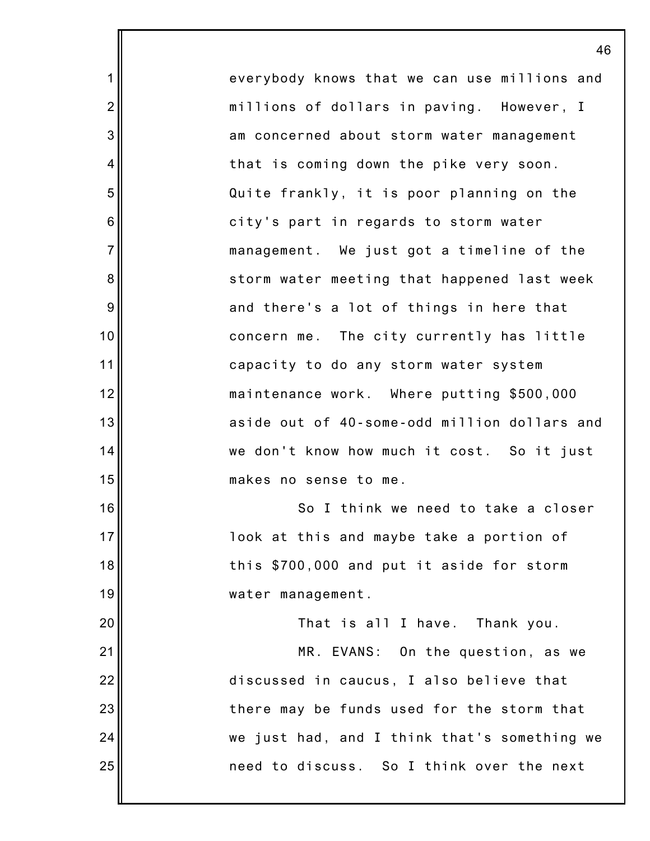everybody knows that we can use millions and millions of dollars in paving. However, I am concerned about storm water management that is coming down the pike very soon. Quite frankly, it is poor planning on the city's part in regards to storm water management. We just got a timeline of the storm water meeting that happened last week and there's a lot of things in here that concern me. The city currently has little capacity to do any storm water system maintenance work. Where putting \$500,000 aside out of 40-some-odd million dollars and we don't know how much it cost. So it just makes no sense to me. So I think we need to take a closer look at this and maybe take a portion of this \$700,000 and put it aside for storm water management.

1

2

3

4

5

6

7

8

9

10

11

12

13

14

15

16

17

18

19

20 21 22 23 24 25 That is all I have. Thank you. MR. EVANS: On the question, as we discussed in caucus, I also believe that there may be funds used for the storm that we just had, and I think that's something we need to discuss. So I think over the next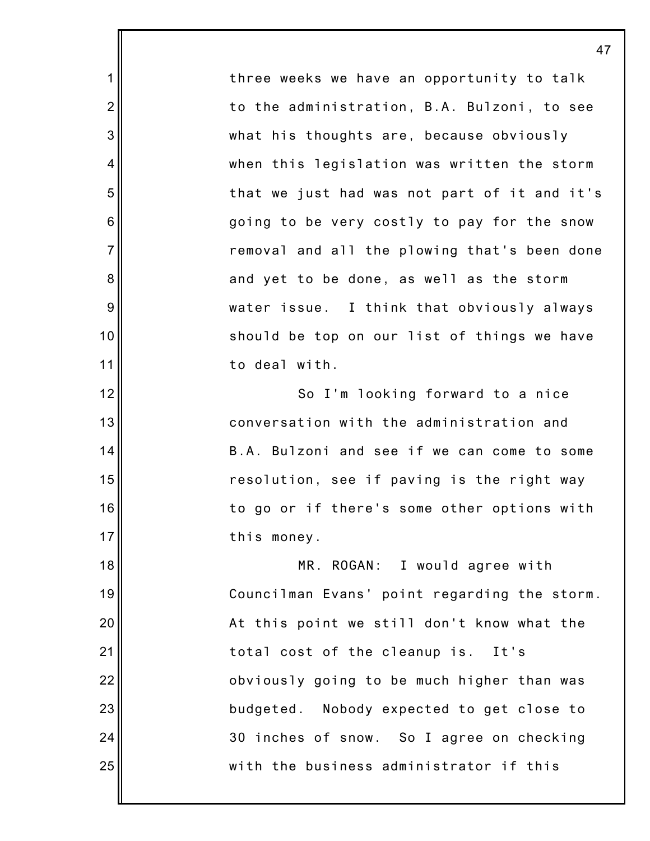three weeks we have an opportunity to talk to the administration, B.A. Bulzoni, to see what his thoughts are, because obviously when this legislation was written the storm that we just had was not part of it and it's going to be very costly to pay for the snow removal and all the plowing that's been done and yet to be done, as well as the storm water issue. I think that obviously always should be top on our list of things we have to deal with.

1

2

3

4

5

6

7

8

9

10

11

12

13

14

15

16

17

So I'm looking forward to a nice conversation with the administration and B.A. Bulzoni and see if we can come to some resolution, see if paving is the right way to go or if there's some other options with this money.

18 19 20 21 22 23 24 25 MR. ROGAN: I would agree with Councilman Evans' point regarding the storm. At this point we still don't know what the total cost of the cleanup is. It's obviously going to be much higher than was budgeted. Nobody expected to get close to 30 inches of snow. So I agree on checking with the business administrator if this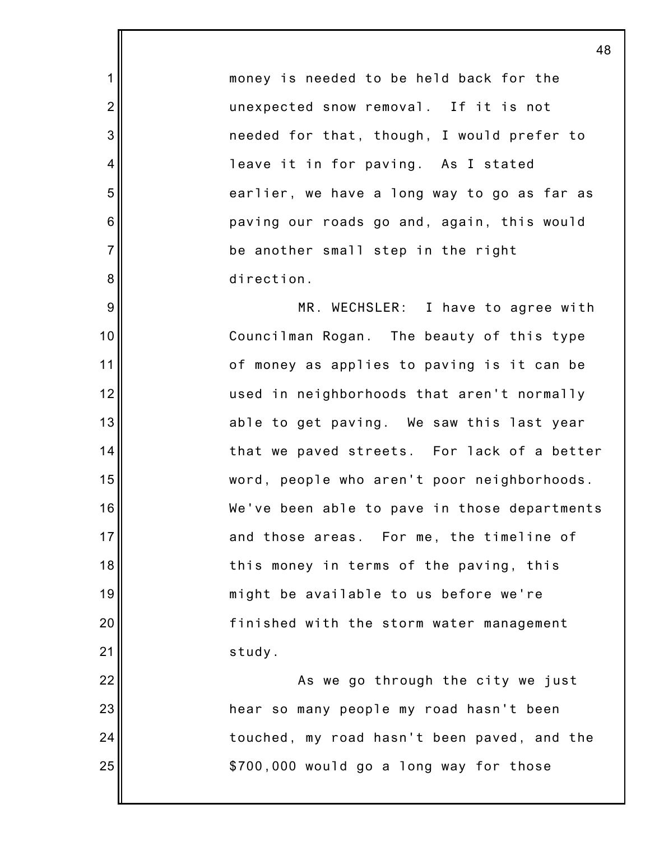money is needed to be held back for the unexpected snow removal. If it is not needed for that, though, I would prefer to leave it in for paving. As I stated earlier, we have a long way to go as far as paving our roads go and, again, this would be another small step in the right direction.

1

2

3

4

5

6

7

8

9

10

11

12

13

14

15

16

17

18

19

20

21

MR. WECHSLER: I have to agree with Councilman Rogan. The beauty of this type of money as applies to paving is it can be used in neighborhoods that aren't normally able to get paving. We saw this last year that we paved streets. For lack of a better word, people who aren't poor neighborhoods. We've been able to pave in those departments and those areas. For me, the timeline of this money in terms of the paving, this might be available to us before we're finished with the storm water management study.

22 23 24 25 As we go through the city we just hear so many people my road hasn't been touched, my road hasn't been paved, and the \$700,000 would go a long way for those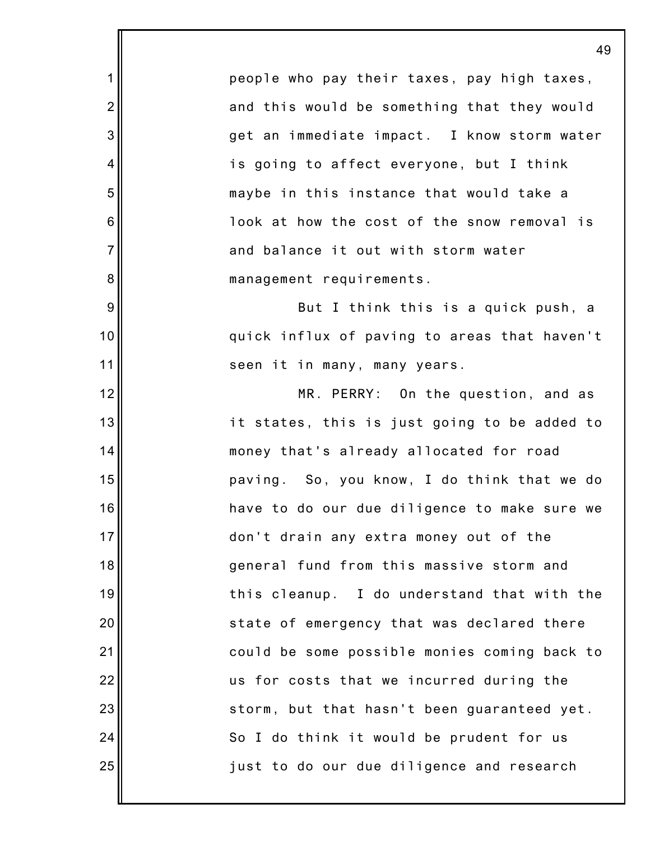people who pay their taxes, pay high taxes, and this would be something that they would get an immediate impact. I know storm water is going to affect everyone, but I think maybe in this instance that would take a look at how the cost of the snow removal is and balance it out with storm water management requirements.

1

2

3

4

5

6

7

8

9

10

11

12

13

14

15

16

17

18

19

20

21

22

23

24

25

But I think this is a quick push, a quick influx of paving to areas that haven't seen it in many, many years.

MR. PERRY: On the question, and as it states, this is just going to be added to money that's already allocated for road paving. So, you know, I do think that we do have to do our due diligence to make sure we don't drain any extra money out of the general fund from this massive storm and this cleanup. I do understand that with the state of emergency that was declared there could be some possible monies coming back to us for costs that we incurred during the storm, but that hasn't been guaranteed yet. So I do think it would be prudent for us just to do our due diligence and research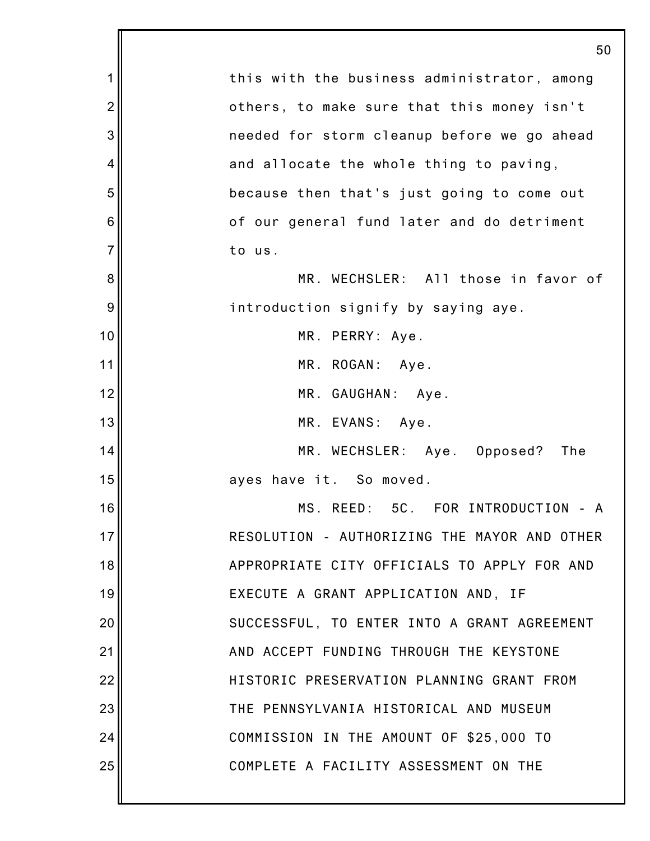|                | 50                                           |
|----------------|----------------------------------------------|
| 1              | this with the business administrator, among  |
| $\overline{2}$ | others, to make sure that this money isn't   |
| 3              | needed for storm cleanup before we go ahead  |
| 4              | and allocate the whole thing to paving,      |
| 5              | because then that's just going to come out   |
| 6              | of our general fund later and do detriment   |
| $\overline{7}$ | to us.                                       |
| 8              | MR. WECHSLER: All those in favor of          |
| 9              | introduction signify by saying aye.          |
| 10             | MR. PERRY: Aye.                              |
| 11             | MR. ROGAN: Aye.                              |
| 12             | MR. GAUGHAN: Aye.                            |
| 13             | MR. EVANS: Aye.                              |
| 14             | MR. WECHSLER: Aye. Opposed? The              |
| 15             | ayes have it. So moved.                      |
| 16             | MS. REED: 5C. FOR INTRODUCTION - A           |
| 17             | RESOLUTION - AUTHORIZING THE MAYOR AND OTHER |
| 18             | APPROPRIATE CITY OFFICIALS TO APPLY FOR AND  |
| 19             | EXECUTE A GRANT APPLICATION AND, IF          |
| 20             | SUCCESSFUL, TO ENTER INTO A GRANT AGREEMENT  |
| 21             | AND ACCEPT FUNDING THROUGH THE KEYSTONE      |
| 22             | HISTORIC PRESERVATION PLANNING GRANT FROM    |
| 23             | THE PENNSYLVANIA HISTORICAL AND MUSEUM       |
| 24             | COMMISSION IN THE AMOUNT OF \$25,000 TO      |
| 25             | COMPLETE A FACILITY ASSESSMENT ON THE        |
|                |                                              |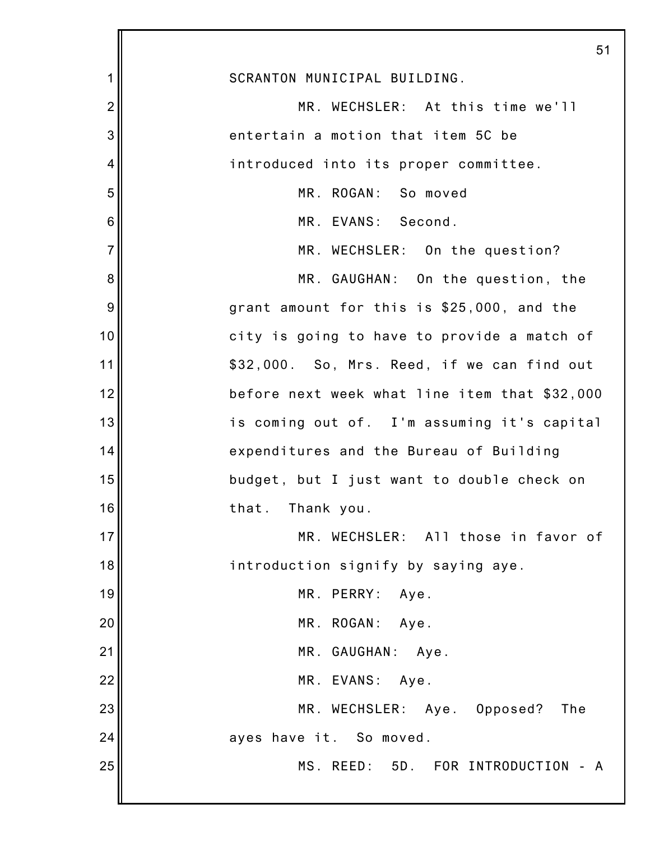|                | 51                                            |
|----------------|-----------------------------------------------|
| 1              | SCRANTON MUNICIPAL BUILDING.                  |
| $\overline{2}$ | MR. WECHSLER: At this time we'll              |
| 3              | entertain a motion that item 5C be            |
| $\overline{4}$ | introduced into its proper committee.         |
| 5              | MR. ROGAN: So moved                           |
| 6              | MR. EVANS: Second.                            |
| $\overline{7}$ | MR. WECHSLER: On the question?                |
| 8              | MR. GAUGHAN: On the question, the             |
| 9              | grant amount for this is \$25,000, and the    |
| 10             | city is going to have to provide a match of   |
| 11             | \$32,000. So, Mrs. Reed, if we can find out   |
| 12             | before next week what line item that \$32,000 |
| 13             | is coming out of. I'm assuming it's capital   |
| 14             | expenditures and the Bureau of Building       |
| 15             | budget, but I just want to double check on    |
| 16             | that.<br>Thank you.                           |
| 17             | MR. WECHSLER: All those in favor of           |
| 18             | introduction signify by saying aye.           |
| 19             | MR. PERRY:<br>Aye.                            |
| 20             | MR. ROGAN: Aye.                               |
| 21             | MR. GAUGHAN: Aye.                             |
| 22             | MR. EVANS: Aye.                               |
| 23             | MR. WECHSLER: Aye. Opposed?<br>The            |
| 24             | ayes have it. So moved.                       |
| 25             | MS. REED: 5D. FOR INTRODUCTION - A            |
|                |                                               |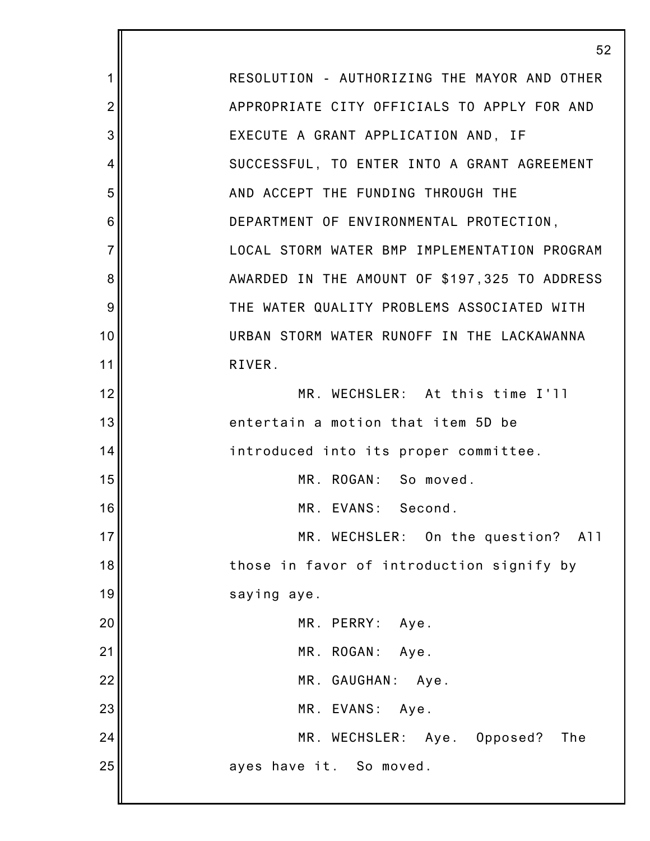1 2 3 4 5 6 7 8 9 10 11 12 13 14 15 16 17 18 19 20 21 22 23 24 25 52 RESOLUTION - AUTHORIZING THE MAYOR AND OTHER APPROPRIATE CITY OFFICIALS TO APPLY FOR AND EXECUTE A GRANT APPLICATION AND, IF SUCCESSFUL, TO ENTER INTO A GRANT AGREEMENT AND ACCEPT THE FUNDING THROUGH THE DEPARTMENT OF ENVIRONMENTAL PROTECTION, LOCAL STORM WATER BMP IMPLEMENTATION PROGRAM AWARDED IN THE AMOUNT OF \$197,325 TO ADDRESS THE WATER QUALITY PROBLEMS ASSOCIATED WITH URBAN STORM WATER RUNOFF IN THE LACKAWANNA RIVER. MR. WECHSLER: At this time I'll entertain a motion that item 5D be introduced into its proper committee. MR. ROGAN: So moved. MR. EVANS: Second. MR. WECHSLER: On the question? All those in favor of introduction signify by saying aye. MR. PERRY: Aye. MR. ROGAN: Aye. MR. GAUGHAN: Aye. MR. EVANS: Aye. MR. WECHSLER: Aye. Opposed? The ayes have it. So moved.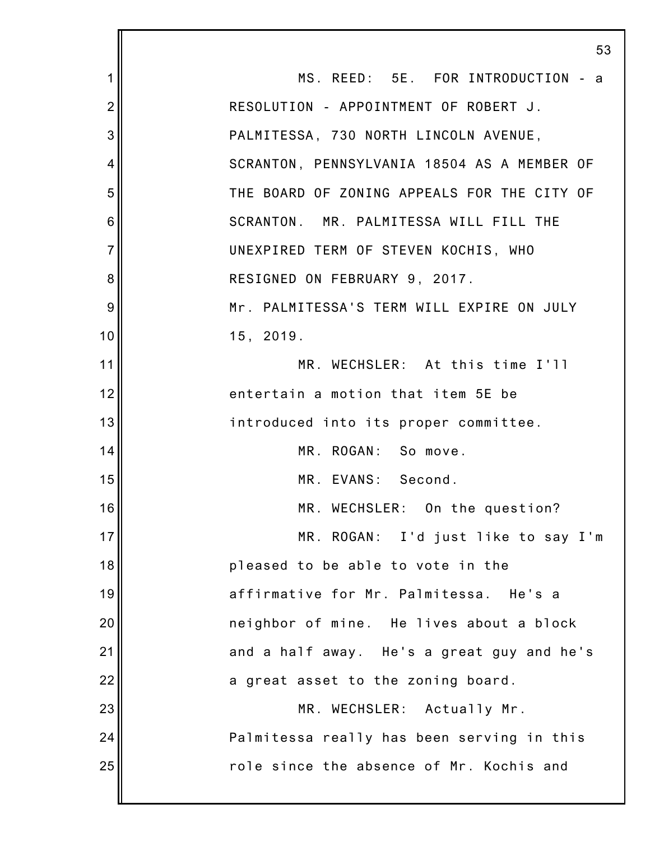1 2 3 4 5 6 7 8 9 10 11 12 13 14 15 16 17 18 19 20 21 22 23 24 25 53 MS. REED: 5E. FOR INTRODUCTION - a RESOLUTION - APPOINTMENT OF ROBERT J. PALMITESSA, 730 NORTH LINCOLN AVENUE, SCRANTON, PENNSYLVANIA 18504 AS A MEMBER OF THE BOARD OF ZONING APPEALS FOR THE CITY OF SCRANTON. MR. PALMITESSA WILL FILL THE UNEXPIRED TERM OF STEVEN KOCHIS, WHO RESIGNED ON FEBRUARY 9, 2017. Mr. PALMITESSA'S TERM WILL EXPIRE ON JULY 15, 2019. MR. WECHSLER: At this time I'll entertain a motion that item 5E be introduced into its proper committee. MR. ROGAN: So move. MR. EVANS: Second. MR. WECHSLER: On the question? MR. ROGAN: I'd just like to say I'm pleased to be able to vote in the affirmative for Mr. Palmitessa. He's a neighbor of mine. He lives about a block and a half away. He's a great guy and he's a great asset to the zoning board. MR. WECHSLER: Actually Mr. Palmitessa really has been serving in this role since the absence of Mr. Kochis and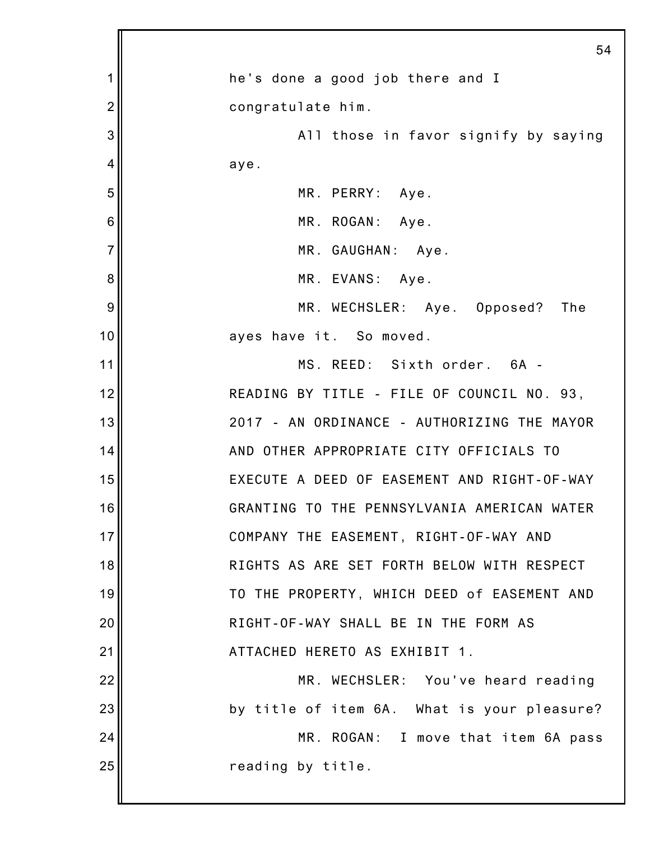|                | 54                                          |
|----------------|---------------------------------------------|
| 1              | he's done a good job there and I            |
| $\overline{2}$ | congratulate him.                           |
| 3              | All those in favor signify by saying        |
| 4              | aye.                                        |
| 5              | MR. PERRY: Aye.                             |
| 6              | MR. ROGAN: Aye.                             |
| $\overline{7}$ | MR. GAUGHAN: Aye.                           |
| 8              | MR. EVANS: Aye.                             |
| 9              | MR. WECHSLER: Aye. Opposed?<br>The          |
| 10             | ayes have it. So moved.                     |
| 11             | MS. REED: Sixth order. 6A -                 |
| 12             | READING BY TITLE - FILE OF COUNCIL NO. 93,  |
| 13             | 2017 - AN ORDINANCE - AUTHORIZING THE MAYOR |
| 14             | AND OTHER APPROPRIATE CITY OFFICIALS TO     |
| 15             | EXECUTE A DEED OF EASEMENT AND RIGHT-OF-WAY |
| 16             | GRANTING TO THE PENNSYLVANIA AMERICAN WATER |
| 17             | COMPANY THE EASEMENT, RIGHT-OF-WAY AND      |
| 18             | RIGHTS AS ARE SET FORTH BELOW WITH RESPECT  |
| 19             | TO THE PROPERTY, WHICH DEED of EASEMENT AND |
| 20             | RIGHT-OF-WAY SHALL BE IN THE FORM AS        |
| 21             | ATTACHED HERETO AS EXHIBIT 1.               |
| 22             | MR. WECHSLER: You've heard reading          |
| 23             | by title of item 6A. What is your pleasure? |
| 24             | MR. ROGAN: I move that item 6A pass         |
| 25             | reading by title.                           |
|                |                                             |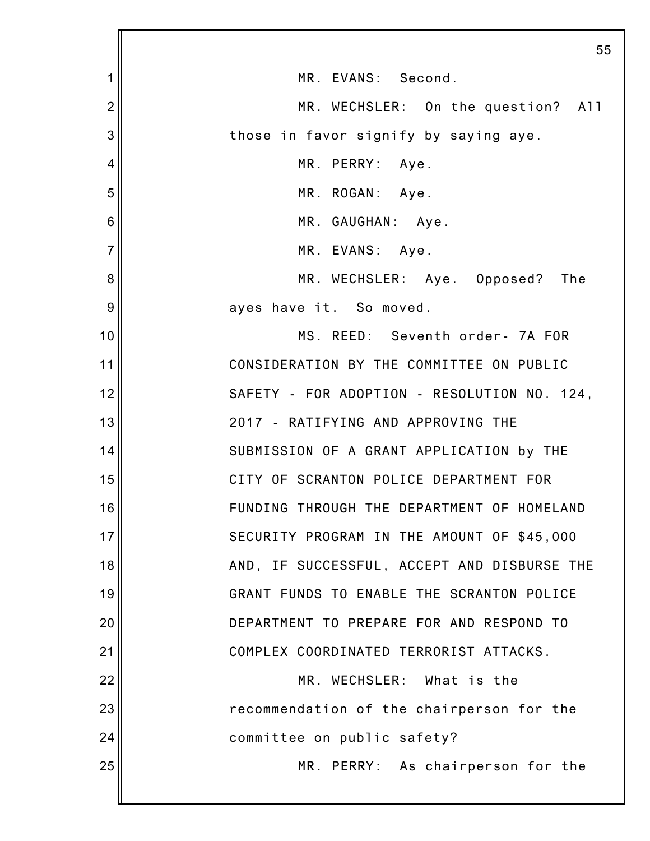|                 | 5                                           |
|-----------------|---------------------------------------------|
| 1               | MR. EVANS: Second.                          |
| $\overline{2}$  | MR. WECHSLER: On the question? All          |
| 3               | those in favor signify by saying aye.       |
| $\overline{4}$  | MR. PERRY: Aye.                             |
| 5               | MR. ROGAN: Aye.                             |
| $6\phantom{1}6$ | MR. GAUGHAN: Aye.                           |
| $\overline{7}$  | MR. EVANS: Aye.                             |
| 8               | MR. WECHSLER: Aye. Opposed? The             |
| 9               | ayes have it. So moved.                     |
| 10              | MS. REED: Seventh order- 7A FOR             |
| 11              | CONSIDERATION BY THE COMMITTEE ON PUBLIC    |
| 12              | SAFETY - FOR ADOPTION - RESOLUTION NO. 124, |
| 13              | 2017 - RATIFYING AND APPROVING THE          |
| 14              | SUBMISSION OF A GRANT APPLICATION by THE    |
| 15              | CITY OF SCRANTON POLICE DEPARTMENT FOR      |
| 16              | FUNDING THROUGH THE DEPARTMENT OF HOMELAND  |
| 17              | SECURITY PROGRAM IN THE AMOUNT OF \$45,000  |
| 18              | AND, IF SUCCESSFUL, ACCEPT AND DISBURSE THE |
| 19              | GRANT FUNDS TO ENABLE THE SCRANTON POLICE   |
| 20              | DEPARTMENT TO PREPARE FOR AND RESPOND TO    |
| 21              | COMPLEX COORDINATED TERRORIST ATTACKS.      |
| 22              | MR. WECHSLER: What is the                   |
| 23              | recommendation of the chairperson for the   |
| 24              | committee on public safety?                 |
| 25              | MR. PERRY: As chairperson for the           |
|                 |                                             |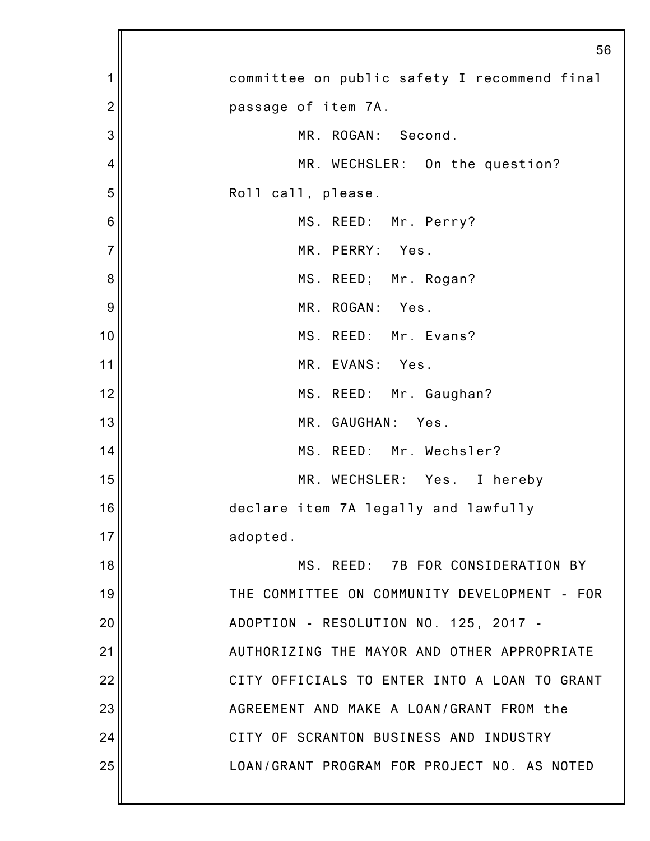|                | 56                                           |
|----------------|----------------------------------------------|
| 1              | committee on public safety I recommend final |
| $\overline{2}$ | passage of item 7A.                          |
| 3              | MR. ROGAN: Second.                           |
| $\overline{4}$ | MR. WECHSLER: On the question?               |
| 5              | Roll call, please.                           |
| 6              | MS. REED: Mr. Perry?                         |
| $\overline{7}$ | MR. PERRY: Yes.                              |
| 8              | MS. REED; Mr. Rogan?                         |
| 9              | MR. ROGAN:<br>Yes.                           |
| 10             | MS. REED: Mr. Evans?                         |
| 11             | MR. EVANS: Yes.                              |
| 12             | MS. REED: Mr. Gaughan?                       |
| 13             | MR. GAUGHAN:<br>Yes.                         |
| 14             | MS. REED: Mr. Wechsler?                      |
| 15             | MR. WECHSLER: Yes. I hereby                  |
| 16             | declare item 7A legally and lawfully         |
| 17             | adopted.                                     |
| 18             | MS. REED: 7B FOR CONSIDERATION BY            |
| 19             | THE COMMITTEE ON COMMUNITY DEVELOPMENT - FOR |
| 20             | ADOPTION - RESOLUTION NO. 125, 2017 -        |
| 21             | AUTHORIZING THE MAYOR AND OTHER APPROPRIATE  |
| 22             | CITY OFFICIALS TO ENTER INTO A LOAN TO GRANT |
| 23             | AGREEMENT AND MAKE A LOAN/GRANT FROM the     |
| 24             | CITY OF SCRANTON BUSINESS AND INDUSTRY       |
| 25             | LOAN/GRANT PROGRAM FOR PROJECT NO. AS NOTED  |
|                |                                              |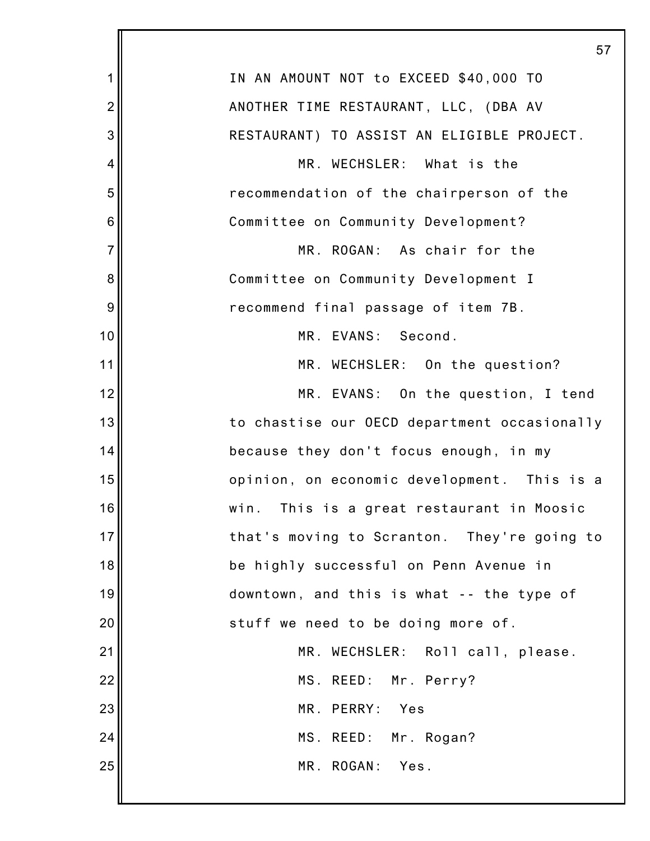|                | 57                                           |
|----------------|----------------------------------------------|
| 1              | IN AN AMOUNT NOT to EXCEED \$40,000 TO       |
| $\overline{2}$ | ANOTHER TIME RESTAURANT, LLC, (DBA AV        |
| 3              | RESTAURANT) TO ASSIST AN ELIGIBLE PROJECT.   |
| 4              | MR. WECHSLER: What is the                    |
| 5              | recommendation of the chairperson of the     |
| 6              | Committee on Community Development?          |
| $\overline{7}$ | MR. ROGAN: As chair for the                  |
| 8              | Committee on Community Development I         |
| 9              | recommend final passage of item 7B.          |
| 10             | MR. EVANS: Second.                           |
| 11             | MR. WECHSLER: On the question?               |
| 12             | MR. EVANS: On the question, I tend           |
| 13             | to chastise our OECD department occasionally |
| 14             | because they don't focus enough, in my       |
| 15             | opinion, on economic development. This is a  |
| 16             | win.<br>This is a great restaurant in Moosic |
| 17             | that's moving to Scranton. They're going to  |
| 18             | be highly successful on Penn Avenue in       |
| 19             | downtown, and this is what -- the type of    |
| 20             | stuff we need to be doing more of.           |
| 21             | MR. WECHSLER: Roll call, please.             |
| 22             | MS. REED: Mr. Perry?                         |
| 23             | MR. PERRY:<br>Yes                            |
| 24             | MS. REED: Mr. Rogan?                         |
| 25             | MR. ROGAN: Yes.                              |
|                |                                              |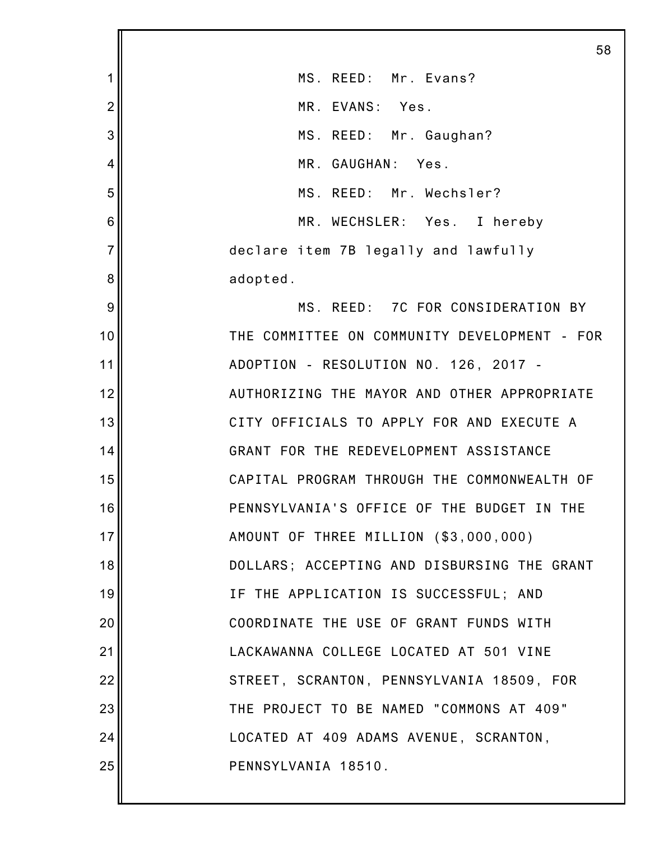|                | 58                                           |
|----------------|----------------------------------------------|
| 1              | MS. REED: Mr. Evans?                         |
| $\overline{2}$ | MR. EVANS: Yes.                              |
| 3              | MS. REED: Mr. Gaughan?                       |
| 4              | MR. GAUGHAN: Yes.                            |
| 5              | MS. REED: Mr. Wechsler?                      |
| 6              | MR. WECHSLER: Yes. I hereby                  |
| $\overline{7}$ | declare item 7B legally and lawfully         |
| 8              | adopted.                                     |
| 9              | MS. REED: 7C FOR CONSIDERATION BY            |
| 10             | THE COMMITTEE ON COMMUNITY DEVELOPMENT - FOR |
| 11             | ADOPTION - RESOLUTION NO. 126, 2017 -        |
| 12             | AUTHORIZING THE MAYOR AND OTHER APPROPRIATE  |
| 13             | CITY OFFICIALS TO APPLY FOR AND EXECUTE A    |
| 14             | GRANT FOR THE REDEVELOPMENT ASSISTANCE       |
| 15             | CAPITAL PROGRAM THROUGH THE COMMONWEALTH OF  |
| 16             | PENNSYLVANIA'S OFFICE OF THE BUDGET IN THE   |
| 17             | AMOUNT OF THREE MILLION (\$3,000,000)        |
| 18             | DOLLARS; ACCEPTING AND DISBURSING THE GRANT  |
| 19             | IF THE APPLICATION IS SUCCESSFUL; AND        |
| 20             | COORDINATE THE USE OF GRANT FUNDS WITH       |
| 21             | LACKAWANNA COLLEGE LOCATED AT 501 VINE       |
| 22             | STREET, SCRANTON, PENNSYLVANIA 18509, FOR    |
| 23             | THE PROJECT TO BE NAMED "COMMONS AT 409"     |
| 24             | LOCATED AT 409 ADAMS AVENUE, SCRANTON,       |
| 25             | PENNSYLVANIA 18510.                          |
|                |                                              |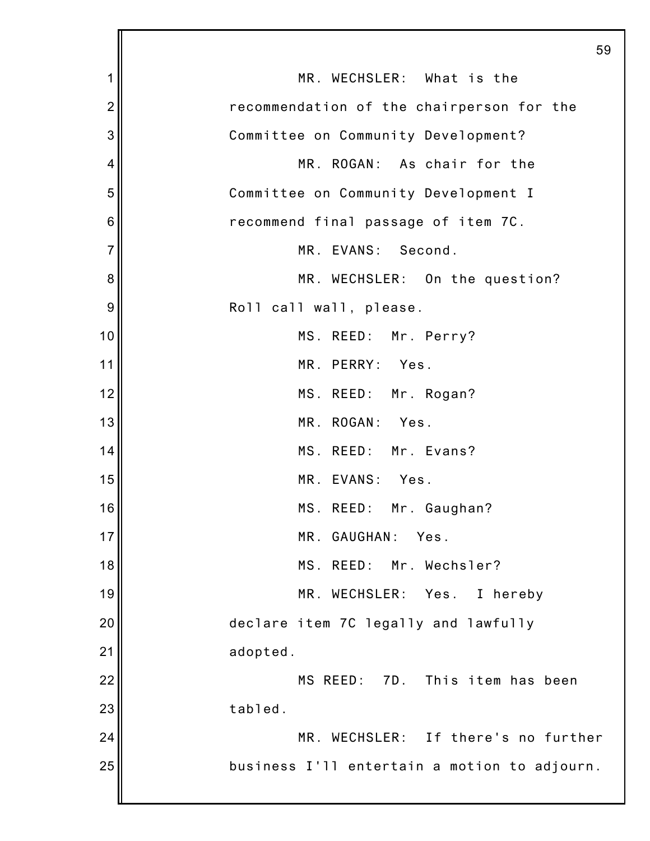|                |                                              | 59 |
|----------------|----------------------------------------------|----|
| 1              | MR. WECHSLER: What is the                    |    |
| $\overline{2}$ | recommendation of the chairperson for the    |    |
| 3              | Committee on Community Development?          |    |
| 4              | MR. ROGAN: As chair for the                  |    |
| 5              | Committee on Community Development I         |    |
| 6              | recommend final passage of item 7C.          |    |
| $\overline{7}$ | MR. EVANS: Second.                           |    |
| 8              | MR. WECHSLER: On the question?               |    |
| 9              | Roll call wall, please.                      |    |
| 10             | MS. REED: Mr. Perry?                         |    |
| 11             | MR. PERRY: Yes.                              |    |
| 12             | MS. REED: Mr. Rogan?                         |    |
| 13             | MR. ROGAN:<br>Yes.                           |    |
| 14             | MS. REED: Mr. Evans?                         |    |
| 15             | MR. EVANS: Yes.                              |    |
| 16             | MS. REED: Mr. Gaughan?                       |    |
| 17             | MR. GAUGHAN:<br>Yes.                         |    |
| 18             | MS. REED: Mr. Wechsler?                      |    |
| 19             | MR. WECHSLER:<br>Yes.<br>I hereby            |    |
| 20             | declare item 7C legally and lawfully         |    |
| 21             | adopted.                                     |    |
| 22             | MS REED: 7D. This item has been              |    |
| 23             | tabled.                                      |    |
| 24             | MR. WECHSLER: If there's no further          |    |
| 25             | business I'll entertain a motion to adjourn. |    |
|                |                                              |    |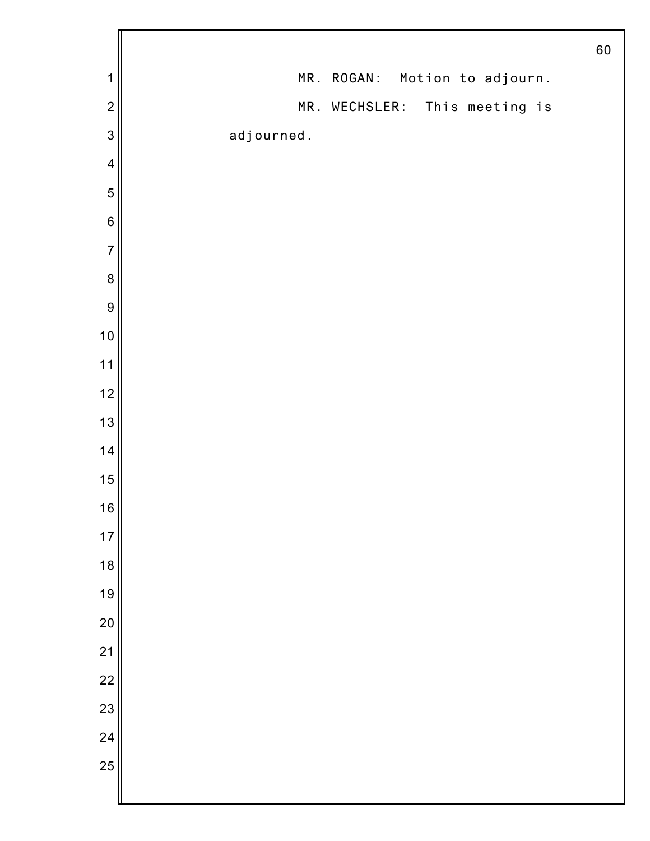|                 |                               | 60 |
|-----------------|-------------------------------|----|
| $\mathbf 1$     | MR. ROGAN: Motion to adjourn. |    |
| $\overline{c}$  | MR. WECHSLER: This meeting is |    |
| 3               | adjourned.                    |    |
| $\overline{4}$  |                               |    |
| $\sqrt{5}$      |                               |    |
| $\,$ 6 $\,$     |                               |    |
| $\overline{7}$  |                               |    |
| $\bf 8$         |                               |    |
| $\overline{9}$  |                               |    |
| 10              |                               |    |
| $11$            |                               |    |
| 12              |                               |    |
| 13              |                               |    |
| 14              |                               |    |
| 15              |                               |    |
| 16              |                               |    |
| $17$            |                               |    |
| 18              |                               |    |
| 19              |                               |    |
| 20              |                               |    |
| $\frac{21}{22}$ |                               |    |
|                 |                               |    |
| 23              |                               |    |
| $\overline{24}$ |                               |    |
| 25              |                               |    |
|                 |                               |    |